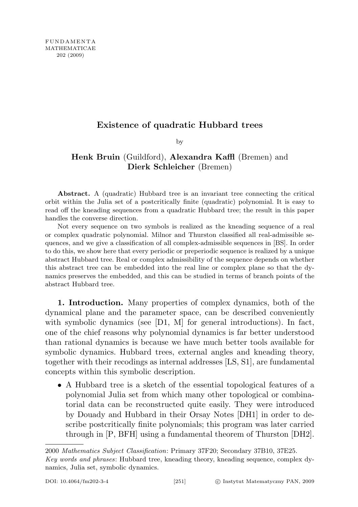## Existence of quadratic Hubbard trees

by

## Henk Bruin (Guildford), Alexandra Kaffl (Bremen) and Dierk Schleicher (Bremen)

Abstract. A (quadratic) Hubbard tree is an invariant tree connecting the critical orbit within the Julia set of a postcritically finite (quadratic) polynomial. It is easy to read off the kneading sequences from a quadratic Hubbard tree; the result in this paper handles the converse direction.

Not every sequence on two symbols is realized as the kneading sequence of a real or complex quadratic polynomial. Milnor and Thurston classified all real-admissible sequences, and we give a classification of all complex-admissible sequences in [BS]. In order to do this, we show here that every periodic or preperiodic sequence is realized by a unique abstract Hubbard tree. Real or complex admissibility of the sequence depends on whether this abstract tree can be embedded into the real line or complex plane so that the dynamics preserves the embedded, and this can be studied in terms of branch points of the abstract Hubbard tree.

1. Introduction. Many properties of complex dynamics, both of the dynamical plane and the parameter space, can be described conveniently with symbolic dynamics (see  $[D1, M]$  for general introductions). In fact, one of the chief reasons why polynomial dynamics is far better understood than rational dynamics is because we have much better tools available for symbolic dynamics. Hubbard trees, external angles and kneading theory, together with their recodings as internal addresses [LS, S1], are fundamental concepts within this symbolic description.

• A Hubbard tree is a sketch of the essential topological features of a polynomial Julia set from which many other topological or combinatorial data can be reconstructed quite easily. They were introduced by Douady and Hubbard in their Orsay Notes [DH1] in order to describe postcritically finite polynomials; this program was later carried through in [P, BFH] using a fundamental theorem of Thurston [DH2].

<sup>2000</sup> Mathematics Subject Classification: Primary 37F20; Secondary 37B10, 37E25. Key words and phrases: Hubbard tree, kneading theory, kneading sequence, complex dynamics, Julia set, symbolic dynamics.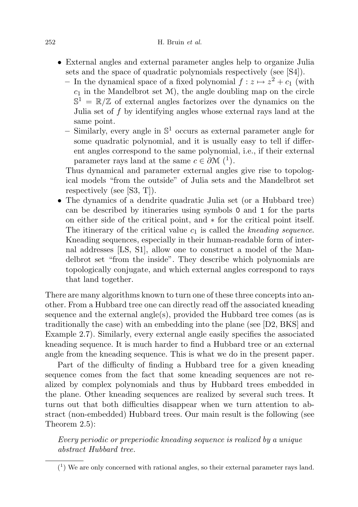## $252$  H. Bruin *et al.*

- External angles and external parameter angles help to organize Julia sets and the space of quadratic polynomials respectively (see [S4]).
	- In the dynamical space of a fixed polynomial  $f: z \mapsto z^2 + c_1$  (with  $c_1$  in the Mandelbrot set  $\mathcal{M}$ ), the angle doubling map on the circle  $\mathbb{S}^1 = \mathbb{R}/\mathbb{Z}$  of external angles factorizes over the dynamics on the Julia set of f by identifying angles whose external rays land at the same point.
	- Similarly, every angle in  $\mathbb{S}^1$  occurs as external parameter angle for some quadratic polynomial, and it is usually easy to tell if different angles correspond to the same polynomial, i.e., if their external parameter rays land at the same  $c \in \partial \mathcal{M}$  (<sup>1</sup>).

Thus dynamical and parameter external angles give rise to topological models "from the outside" of Julia sets and the Mandelbrot set respectively (see [S3, T]).

• The dynamics of a dendrite quadratic Julia set (or a Hubbard tree) can be described by itineraries using symbols 0 and 1 for the parts on either side of the critical point, and ∗ for the critical point itself. The itinerary of the critical value  $c_1$  is called the kneading sequence. Kneading sequences, especially in their human-readable form of internal addresses [LS, S1], allow one to construct a model of the Mandelbrot set "from the inside". They describe which polynomials are topologically conjugate, and which external angles correspond to rays that land together.

There are many algorithms known to turn one of these three concepts into another. From a Hubbard tree one can directly read off the associated kneading sequence and the external angle(s), provided the Hubbard tree comes (as is traditionally the case) with an embedding into the plane (see [D2, BKS] and Example 2.7). Similarly, every external angle easily specifies the associated kneading sequence. It is much harder to find a Hubbard tree or an external angle from the kneading sequence. This is what we do in the present paper.

Part of the difficulty of finding a Hubbard tree for a given kneading sequence comes from the fact that some kneading sequences are not realized by complex polynomials and thus by Hubbard trees embedded in the plane. Other kneading sequences are realized by several such trees. It turns out that both difficulties disappear when we turn attention to abstract (non-embedded) Hubbard trees. Our main result is the following (see Theorem 2.5):

Every periodic or preperiodic kneading sequence is realized by a unique abstract Hubbard tree.

 $(1)$  We are only concerned with rational angles, so their external parameter rays land.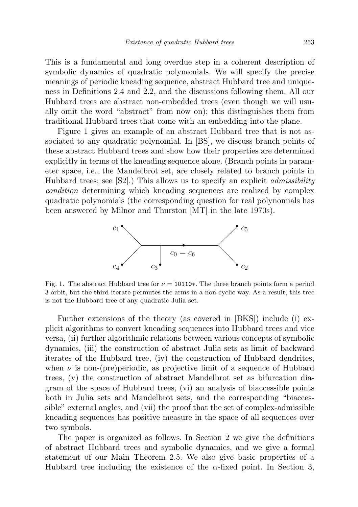This is a fundamental and long overdue step in a coherent description of symbolic dynamics of quadratic polynomials. We will specify the precise meanings of periodic kneading sequence, abstract Hubbard tree and uniqueness in Definitions 2.4 and 2.2, and the discussions following them. All our Hubbard trees are abstract non-embedded trees (even though we will usually omit the word "abstract" from now on); this distinguishes them from traditional Hubbard trees that come with an embedding into the plane.

Figure 1 gives an example of an abstract Hubbard tree that is not associated to any quadratic polynomial. In [BS], we discuss branch points of these abstract Hubbard trees and show how their properties are determined explicitly in terms of the kneading sequence alone. (Branch points in parameter space, i.e., the Mandelbrot set, are closely related to branch points in Hubbard trees; see  $[S2]$ .) This allows us to specify an explicit *admissibility* condition determining which kneading sequences are realized by complex quadratic polynomials (the corresponding question for real polynomials has been answered by Milnor and Thurston [MT] in the late 1970s).



Fig. 1. The abstract Hubbard tree for  $\nu = 10110*$ . The three branch points form a period 3 orbit, but the third iterate permutes the arms in a non-cyclic way. As a result, this tree is not the Hubbard tree of any quadratic Julia set.

Further extensions of the theory (as covered in [BKS]) include (i) explicit algorithms to convert kneading sequences into Hubbard trees and vice versa, (ii) further algorithmic relations between various concepts of symbolic dynamics, (iii) the construction of abstract Julia sets as limit of backward iterates of the Hubbard tree, (iv) the construction of Hubbard dendrites, when  $\nu$  is non-(pre)periodic, as projective limit of a sequence of Hubbard trees, (v) the construction of abstract Mandelbrot set as bifurcation diagram of the space of Hubbard trees, (vi) an analysis of biaccessible points both in Julia sets and Mandelbrot sets, and the corresponding "biaccessible" external angles, and (vii) the proof that the set of complex-admissible kneading sequences has positive measure in the space of all sequences over two symbols.

The paper is organized as follows. In Section 2 we give the definitions of abstract Hubbard trees and symbolic dynamics, and we give a formal statement of our Main Theorem 2.5. We also give basic properties of a Hubbard tree including the existence of the  $\alpha$ -fixed point. In Section 3,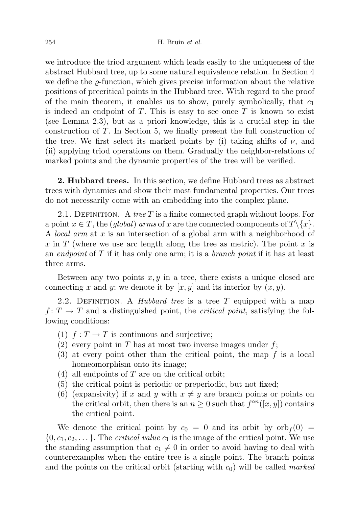we introduce the triod argument which leads easily to the uniqueness of the abstract Hubbard tree, up to some natural equivalence relation. In Section 4 we define the  $\rho$ -function, which gives precise information about the relative positions of precritical points in the Hubbard tree. With regard to the proof of the main theorem, it enables us to show, purely symbolically, that  $c_1$ is indeed an endpoint of  $T$ . This is easy to see once  $T$  is known to exist (see Lemma 2.3), but as a priori knowledge, this is a crucial step in the construction of T. In Section 5, we finally present the full construction of the tree. We first select its marked points by (i) taking shifts of  $\nu$ , and (ii) applying triod operations on them. Gradually the neighbor-relations of marked points and the dynamic properties of the tree will be verified.

2. Hubbard trees. In this section, we define Hubbard trees as abstract trees with dynamics and show their most fundamental properties. Our trees do not necessarily come with an embedding into the complex plane.

2.1. DEFINITION. A tree T is a finite connected graph without loops. For a point  $x \in T$ , the (*global*) arms of x are the connected components of  $T\{x\}$ . A *local arm* at x is an intersection of a global arm with a neighborhood of x in T (where we use arc length along the tree as metric). The point x is an *endpoint* of T if it has only one arm; it is a *branch point* if it has at least three arms.

Between any two points  $x, y$  in a tree, there exists a unique closed arc connecting x and y; we denote it by  $[x, y]$  and its interior by  $(x, y)$ .

2.2. DEFINITION. A *Hubbard tree* is a tree T equipped with a map  $f: T \to T$  and a distinguished point, the *critical point*, satisfying the following conditions:

- (1)  $f: T \to T$  is continuous and surjective;
- (2) every point in  $T$  has at most two inverse images under  $f$ ;
- $(3)$  at every point other than the critical point, the map f is a local homeomorphism onto its image;
- (4) all endpoints of  $T$  are on the critical orbit;
- (5) the critical point is periodic or preperiodic, but not fixed;
- (6) (expansivity) if x and y with  $x \neq y$  are branch points or points on the critical orbit, then there is an  $n \geq 0$  such that  $f^{\circ n}([x, y])$  contains the critical point.

We denote the critical point by  $c_0 = 0$  and its orbit by  $\sigma b_f(0) =$  $\{0, c_1, c_2, \ldots\}$ . The *critical value*  $c_1$  is the image of the critical point. We use the standing assumption that  $c_1 \neq 0$  in order to avoid having to deal with counterexamples when the entire tree is a single point. The branch points and the points on the critical orbit (starting with  $c_0$ ) will be called *marked*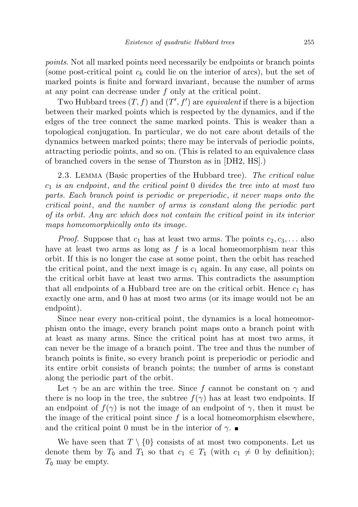points. Not all marked points need necessarily be endpoints or branch points (some post-critical point  $c_k$  could lie on the interior of arcs), but the set of marked points is finite and forward invariant, because the number of arms at any point can decrease under f only at the critical point.

Two Hubbard trees  $(T, f)$  and  $(T', f')$  are equivalent if there is a bijection between their marked points which is respected by the dynamics, and if the edges of the tree connect the same marked points. This is weaker than a topological conjugation. In particular, we do not care about details of the dynamics between marked points; there may be intervals of periodic points, attracting periodic points, and so on. (This is related to an equivalence class of branched covers in the sense of Thurston as in [DH2, HS].)

2.3. Lemma (Basic properties of the Hubbard tree). The critical value  $c_1$  is an endpoint, and the critical point 0 divides the tree into at most two parts. Each branch point is periodic or preperiodic, it never maps onto the critical point, and the number of arms is constant along the periodic part of its orbit. Any arc which does not contain the critical point in its interior maps homeomorphically onto its image.

*Proof.* Suppose that  $c_1$  has at least two arms. The points  $c_2, c_3, \ldots$  also have at least two arms as long as  $f$  is a local homeomorphism near this orbit. If this is no longer the case at some point, then the orbit has reached the critical point, and the next image is  $c_1$  again. In any case, all points on the critical orbit have at least two arms. This contradicts the assumption that all endpoints of a Hubbard tree are on the critical orbit. Hence  $c_1$  has exactly one arm, and 0 has at most two arms (or its image would not be an endpoint).

Since near every non-critical point, the dynamics is a local homeomorphism onto the image, every branch point maps onto a branch point with at least as many arms. Since the critical point has at most two arms, it can never be the image of a branch point. The tree and thus the number of branch points is finite, so every branch point is preperiodic or periodic and its entire orbit consists of branch points; the number of arms is constant along the periodic part of the orbit.

Let  $\gamma$  be an arc within the tree. Since f cannot be constant on  $\gamma$  and there is no loop in the tree, the subtree  $f(\gamma)$  has at least two endpoints. If an endpoint of  $f(\gamma)$  is not the image of an endpoint of  $\gamma$ , then it must be the image of the critical point since  $f$  is a local homeomorphism elsewhere, and the critical point 0 must be in the interior of  $\gamma$ .

We have seen that  $T \setminus \{0\}$  consists of at most two components. Let us denote them by  $T_0$  and  $T_1$  so that  $c_1 \in T_1$  (with  $c_1 \neq 0$  by definition);  $T_0$  may be empty.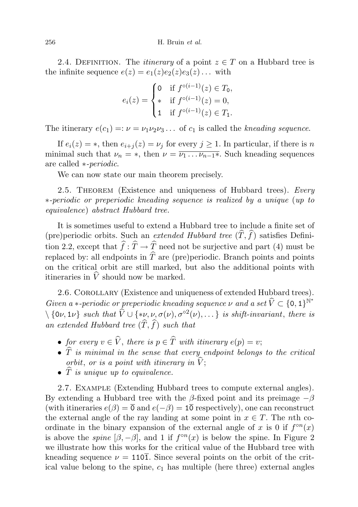2.4. DEFINITION. The *itinerary* of a point  $z \in T$  on a Hubbard tree is the infinite sequence  $e(z) = e_1(z)e_2(z)e_3(z) \dots$  with

$$
e_i(z) = \begin{cases} 0 & \text{if } f^{\circ(i-1)}(z) \in T_0, \\ * & \text{if } f^{\circ(i-1)}(z) = 0, \\ 1 & \text{if } f^{\circ(i-1)}(z) \in T_1. \end{cases}
$$

The itinerary  $e(c_1) =: \nu = \nu_1 \nu_2 \nu_3 \ldots$  of  $c_1$  is called the kneading sequence.

If  $e_i(z) = *$ , then  $e_{i+i}(z) = \nu_i$  for every  $j \geq 1$ . In particular, if there is n minimal such that  $\nu_n = *$ , then  $\nu = \overline{\nu_1 \dots \nu_{n-1} *}$ . Such kneading sequences are called ∗-periodic.

We can now state our main theorem precisely.

2.5. THEOREM (Existence and uniqueness of Hubbard trees). Every ∗-periodic or preperiodic kneading sequence is realized by a unique (up to equivalence) abstract Hubbard tree.

It is sometimes useful to extend a Hubbard tree to include a finite set of (pre)periodic orbits. Such an *extended Hubbard tree*  $(\widehat{T}, \widehat{f})$  satisfies Definition 2.2, except that  $\hat{f}$ :  $\hat{T} \to \hat{T}$  need not be surjective and part (4) must be replaced by: all endpoints in  $\hat{T}$  are (pre)periodic. Branch points and points on the critical orbit are still marked, but also the additional points with itineraries in  $\hat{V}$  should now be marked.

2.6. Corollary (Existence and uniqueness of extended Hubbard trees). Given a \*-periodic or preperiodic kneading sequence  $\nu$  and a set  $\widehat{V} \subset \{0, 1\}^{\mathbb{N}^*}$  $\setminus \{0\nu, 1\nu\}$  such that  $\widehat{V} \cup \{*\nu, \nu, \sigma(\nu), \sigma^{\circ 2}(\nu), \dots\}$  is shift-invariant, there is an extended Hubbard tree  $(\widehat{T}, \widehat{f})$  such that

- for every  $v \in \widehat{V}$ , there is  $p \in \widehat{T}$  with itinerary  $e(p) = v$ ;
- $\hat{T}$  is minimal in the sense that every endpoint belongs to the critical orbit, or is a point with itinerary in  $\widehat{V}$ ;
- $\hat{T}$  is unique up to equivalence.

2.7. Example (Extending Hubbard trees to compute external angles). By extending a Hubbard tree with the β-fixed point and its preimage  $-\beta$ (with itineraries  $e(\beta) = \overline{0}$  and  $e(-\beta) = 1\overline{0}$  respectively), one can reconstruct the external angle of the ray landing at some point in  $x \in T$ . The *n*th coordinate in the binary expansion of the external angle of x is 0 if  $f^{\circ n}(x)$ is above the *spine*  $[\beta, -\beta]$ , and 1 if  $f^{\circ n}(x)$  is below the spine. In Figure 2 we illustrate how this works for the critical value of the Hubbard tree with kneading sequence  $\nu = 110\overline{1}$ . Since several points on the orbit of the critical value belong to the spine,  $c_1$  has multiple (here three) external angles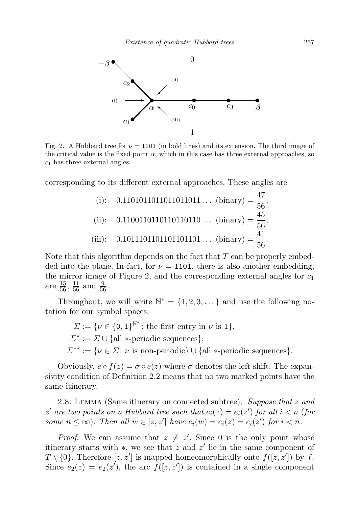

Fig. 2. A Hubbard tree for  $\nu = 110\overline{1}$  (in bold lines) and its extension. The third image of the critical value is the fixed point  $\alpha$ , which in this case has three external approaches, so  $c_1$  has three external angles.

corresponding to its different external approaches. These angles are

(i): 0.1101011011011011011... (binary) = 
$$
\frac{47}{56}
$$
,  
\n(ii): 0.1100110110110110110... (binary) =  $\frac{45}{56}$ ,  
\n(iii): 0.1011101101101101101... (binary) =  $\frac{41}{56}$ .

Note that this algorithm depends on the fact that  $T$  can be properly embedded into the plane. In fact, for  $\nu = 110\overline{1}$ , there is also another embedding, the mirror image of Figure 2, and the corresponding external angles for  $c_1$ are  $\frac{15}{56}$ ,  $\frac{11}{56}$  and  $\frac{9}{56}$ .

Throughout, we will write  $\mathbb{N}^* = \{1, 2, 3, \dots\}$  and use the following notation for our symbol spaces:

 $\Sigma := {\nu \in {0,1\}}^{\mathbb{N}^*}$ : the first entry in  $\nu$  is 1},  $\Sigma^* := \Sigma \cup \{ \text{all } * \text{-periodic sequences} \},$  $\Sigma^{**} := \{ \nu \in \Sigma : \nu \text{ is non-periodic} \} \cup \{ \text{all } * \text{periodic sequences} \}.$ 

Obviously,  $e \circ f(z) = \sigma \circ e(z)$  where  $\sigma$  denotes the left shift. The expansivity condition of Definition 2.2 means that no two marked points have the same itinerary.

2.8. LEMMA (Same itinerary on connected subtree). Suppose that z and z' are two points on a Hubbard tree such that  $e_i(z) = e_i(z')$  for all  $i < n$  (for some  $n \leq \infty$ ). Then all  $w \in [z, z']$  have  $e_i(w) = e_i(z) = e_i(z')$  for  $i < n$ .

*Proof.* We can assume that  $z \neq z'$ . Since 0 is the only point whose itinerary starts with  $\ast$ , we see that z and z' lie in the same component of  $T \setminus \{0\}$ . Therefore  $[z, z']$  is mapped homeomorphically onto  $f([z, z'])$  by f. Since  $e_2(z) = e_2(z')$ , the arc  $f([z, z'])$  is contained in a single component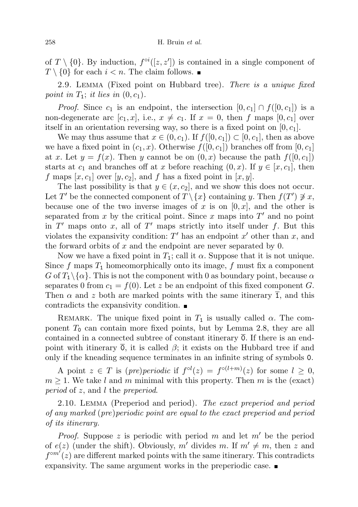of  $T \setminus \{0\}$ . By induction,  $f^{\circ i}([z, z'])$  is contained in a single component of  $T \setminus \{0\}$  for each  $i < n$ . The claim follows.

2.9. Lemma (Fixed point on Hubbard tree). There is a unique fixed point in  $T_1$ ; it lies in  $(0, c_1)$ .

*Proof.* Since  $c_1$  is an endpoint, the intersection  $[0, c_1] \cap f([0, c_1])$  is a non-degenerate arc  $[c_1, x]$ , i.e.,  $x \neq c_1$ . If  $x = 0$ , then f maps  $[0, c_1]$  over itself in an orientation reversing way, so there is a fixed point on  $[0, c_1]$ .

We may thus assume that  $x \in (0, c_1)$ . If  $f([0, c_1]) \subset [0, c_1]$ , then as above we have a fixed point in  $(c_1, x)$ . Otherwise  $f([0, c_1])$  branches off from  $[0, c_1]$ at x. Let  $y = f(x)$ . Then y cannot be on  $(0, x)$  because the path  $f([0, c_1])$ starts at  $c_1$  and branches off at x before reaching  $(0, x)$ . If  $y \in [x, c_1]$ , then f maps  $[x, c_1]$  over  $[y, c_2]$ , and f has a fixed point in  $[x, y]$ .

The last possibility is that  $y \in (x, c_2]$ , and we show this does not occur. Let T' be the connected component of  $T \setminus \{x\}$  containing y. Then  $f(T') \not\ni x$ , because one of the two inverse images of x is on  $[0, x]$ , and the other is separated from x by the critical point. Since x maps into  $T'$  and no point in  $T'$  maps onto x, all of  $T'$  maps strictly into itself under f. But this violates the expansivity condition:  $T'$  has an endpoint  $x'$  other than  $x$ , and the forward orbits of  $x$  and the endpoint are never separated by 0.

Now we have a fixed point in  $T_1$ ; call it  $\alpha$ . Suppose that it is not unique. Since  $f$  maps  $T_1$  homeomorphically onto its image,  $f$  must fix a component G of  $T_1 \setminus \{\alpha\}$ . This is not the component with 0 as boundary point, because  $\alpha$ separates 0 from  $c_1 = f(0)$ . Let z be an endpoint of this fixed component G. Then  $\alpha$  and z both are marked points with the same itinerary 1, and this contradicts the expansivity condition.

REMARK. The unique fixed point in  $T_1$  is usually called  $\alpha$ . The component  $T_0$  can contain more fixed points, but by Lemma 2.8, they are all contained in a connected subtree of constant itinerary  $\overline{0}$ . If there is an endpoint with itinerary  $\overline{0}$ , it is called  $\beta$ ; it exists on the Hubbard tree if and only if the kneading sequence terminates in an infinite string of symbols 0.

A point  $z \in T$  is  $(pre)periodic$  if  $f^{\circ l}(z) = f^{\circ (l+m)}(z)$  for some  $l \geq 0$ ,  $m \geq 1$ . We take l and m minimal with this property. Then m is the (exact) period of z, and l the preperiod.

2.10. Lemma (Preperiod and period). The exact preperiod and period of any marked (pre)periodic point are equal to the exact preperiod and period of its itinerary.

*Proof.* Suppose z is periodic with period m and let  $m'$  be the period of  $e(z)$  (under the shift). Obviously, m' divides m. If  $m' \neq m$ , then z and  $f^{\circ m'}(z)$  are different marked points with the same itinerary. This contradicts expansivity. The same argument works in the preperiodic case.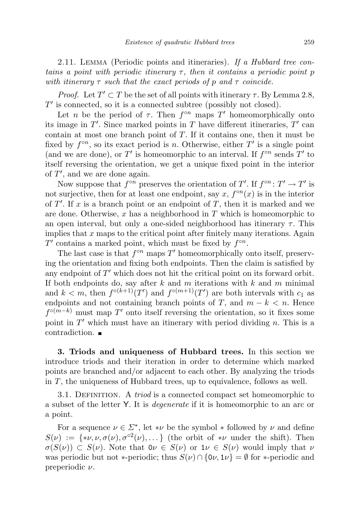2.11. LEMMA (Periodic points and itineraries). If a Hubbard tree contains a point with periodic itinerary  $\tau$ , then it contains a periodic point p with itinerary  $\tau$  such that the exact periods of p and  $\tau$  coincide.

*Proof.* Let  $T' \subset T$  be the set of all points with itinerary  $\tau$ . By Lemma 2.8,  $T'$  is connected, so it is a connected subtree (possibly not closed).

Let *n* be the period of  $\tau$ . Then  $f^{\circ n}$  maps  $T'$  homeomorphically onto its image in  $T'$ . Since marked points in T have different itineraries,  $T'$  can contain at most one branch point of T. If it contains one, then it must be fixed by  $f^{\circ n}$ , so its exact period is n. Otherwise, either T' is a single point (and we are done), or T' is homeomorphic to an interval. If  $f^{\circ n}$  sends T' to itself reversing the orientation, we get a unique fixed point in the interior of  $T'$ , and we are done again.

Now suppose that  $f^{\circ n}$  preserves the orientation of T'. If  $f^{\circ n} \colon T' \to T'$  is not surjective, then for at least one endpoint, say  $x, f^{\circ n}(x)$  is in the interior of  $T'$ . If x is a branch point or an endpoint of T, then it is marked and we are done. Otherwise, x has a neighborhood in  $T$  which is homeomorphic to an open interval, but only a one-sided neighborhood has itinerary  $\tau$ . This implies that  $x$  maps to the critical point after finitely many iterations. Again T' contains a marked point, which must be fixed by  $f^{\circ n}$ .

The last case is that  $f^{\circ n}$  maps  $T'$  homeomorphically onto itself, preserving the orientation and fixing both endpoints. Then the claim is satisfied by any endpoint of  $T'$  which does not hit the critical point on its forward orbit. If both endpoints do, say after  $k$  and  $m$  iterations with  $k$  and  $m$  minimal and  $k < m$ , then  $f^{\circ(k+1)}(T')$  and  $f^{\circ(m+1)}(T')$  are both intervals with  $c_1$  as endpoints and not containing branch points of T, and  $m - k < n$ . Hence  $f^{\circ(m-k)}$  must map T' onto itself reversing the orientation, so it fixes some point in  $T'$  which must have an itinerary with period dividing n. This is a contradiction.

3. Triods and uniqueness of Hubbard trees. In this section we introduce triods and their iteration in order to determine which marked points are branched and/or adjacent to each other. By analyzing the triods in T, the uniqueness of Hubbard trees, up to equivalence, follows as well.

3.1. DEFINITION. A *triod* is a connected compact set homeomorphic to a subset of the letter Y. It is degenerate if it is homeomorphic to an arc or a point.

For a sequence  $\nu \in \Sigma^*$ , let \*v be the symbol \* followed by  $\nu$  and define  $S(\nu) := \{*\nu, \nu, \sigma(\nu), \sigma^{\circ 2}(\nu), \dots\}$  (the orbit of  $*\nu$  under the shift). Then  $\sigma(S(\nu)) \subset S(\nu)$ . Note that  $0\nu \in S(\nu)$  or  $1\nu \in S(\nu)$  would imply that  $\nu$ was periodic but not \*-periodic; thus  $S(\nu) \cap \{0\nu, 1\nu\} = \emptyset$  for \*-periodic and preperiodic  $\nu$ .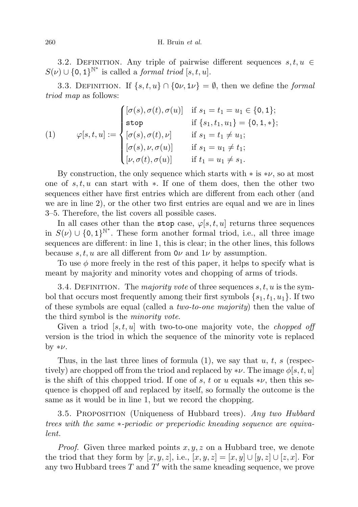3.2. DEFINITION. Any triple of pairwise different sequences  $s, t, u \in$  $S(\nu) \cup \{0,1\}^{\mathbb{N}^*}$  is called a *formal triod*  $[s, t, u]$ .

3.3. DEFINITION. If  $\{s, t, u\} \cap \{0\nu, 1\nu\} = \emptyset$ , then we define the *formal* triod map as follows:

(1) 
$$
\varphi[s, t, u] := \begin{cases} [\sigma(s), \sigma(t), \sigma(u)] & \text{if } s_1 = t_1 = u_1 \in \{0, 1\}; \\ \text{stop} & \text{if } \{s_1, t_1, u_1\} = \{0, 1, *\}; \\ [\sigma(s), \sigma(t), \nu] & \text{if } s_1 = t_1 \neq u_1; \\ [\sigma(s), \nu, \sigma(u)] & \text{if } s_1 = u_1 \neq t_1; \\ [\nu, \sigma(t), \sigma(u)] & \text{if } t_1 = u_1 \neq s_1. \end{cases}
$$

By construction, the only sequence which starts with  $*$  is  $*\nu$ , so at most one of  $s, t, u$  can start with  $\ast$ . If one of them does, then the other two sequences either have first entries which are different from each other (and we are in line 2), or the other two first entries are equal and we are in lines 3–5. Therefore, the list covers all possible cases.

In all cases other than the stop case,  $\varphi[s, t, u]$  returns three sequences in  $S(\nu) \cup \{0,1\}^{\mathbb{N}^*}$ . These form another formal triod, i.e., all three image sequences are different: in line 1, this is clear; in the other lines, this follows because s, t, u are all different from  $0\nu$  and  $1\nu$  by assumption.

To use  $\phi$  more freely in the rest of this paper, it helps to specify what is meant by majority and minority votes and chopping of arms of triods.

3.4. DEFINITION. The *majority vote* of three sequences  $s, t, u$  is the symbol that occurs most frequently among their first symbols  $\{s_1, t_1, u_1\}$ . If two of these symbols are equal (called a two-to-one majority) then the value of the third symbol is the *minority vote*.

Given a triod  $[s, t, u]$  with two-to-one majority vote, the *chopped off* version is the triod in which the sequence of the minority vote is replaced by  $*\nu$ .

Thus, in the last three lines of formula  $(1)$ , we say that u, t, s (respectively) are chopped off from the triod and replaced by  $*\nu$ . The image  $\phi[s, t, u]$ is the shift of this chopped triod. If one of s, t or u equals  $*\nu$ , then this sequence is chopped off and replaced by itself, so formally the outcome is the same as it would be in line 1, but we record the chopping.

3.5. PROPOSITION (Uniqueness of Hubbard trees). Any two Hubbard trees with the same ∗-periodic or preperiodic kneading sequence are equivalent.

*Proof.* Given three marked points  $x, y, z$  on a Hubbard tree, we denote the triod that they form by  $[x, y, z]$ , i.e.,  $[x, y, z] = [x, y] \cup [y, z] \cup [z, x]$ . For any two Hubbard trees  $T$  and  $T'$  with the same kneading sequence, we prove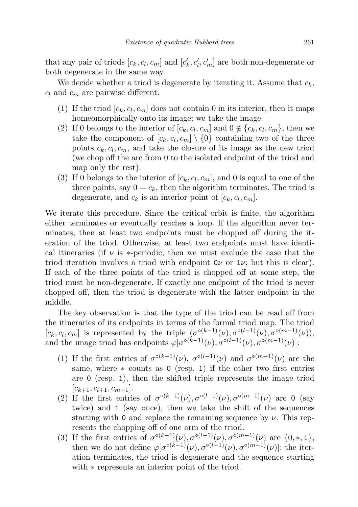that any pair of triods  $[c_k, c_l, c_m]$  and  $[c'_k, c'_l, c'_m]$  are both non-degenerate or both degenerate in the same way.

We decide whether a triod is degenerate by iterating it. Assume that  $c_k$ ,  $c_l$  and  $c_m$  are pairwise different.

- (1) If the triod  $[c_k, c_l, c_m]$  does not contain 0 in its interior, then it maps homeomorphically onto its image; we take the image.
- (2) If 0 belongs to the interior of  $[c_k, c_l, c_m]$  and  $0 \notin \{c_k, c_l, c_m\}$ , then we take the component of  $[c_k, c_l, c_m] \setminus \{0\}$  containing two of the three points  $c_k, c_l, c_m$ , and take the closure of its image as the new triod (we chop off the arc from 0 to the isolated endpoint of the triod and map only the rest).
- (3) If 0 belongs to the interior of  $[c_k, c_l, c_m]$ , and 0 is equal to one of the three points, say  $0 = c_k$ , then the algorithm terminates. The triod is degenerate, and  $c_k$  is an interior point of  $[c_k, c_l, c_m]$ .

We iterate this procedure. Since the critical orbit is finite, the algorithm either terminates or eventually reaches a loop. If the algorithm never terminates, then at least two endpoints must be chopped off during the iteration of the triod. Otherwise, at least two endpoints must have identical itineraries (if  $\nu$  is \*-periodic, then we must exclude the case that the triod iteration involves a triod with endpoint  $0\nu$  or  $1\nu$ ; but this is clear). If each of the three points of the triod is chopped off at some step, the triod must be non-degenerate. If exactly one endpoint of the triod is never chopped off, then the triod is degenerate with the latter endpoint in the middle.

The key observation is that the type of the triod can be read off from the itineraries of its endpoints in terms of the formal triod map. The triod  $[c_k, c_l, c_m]$  is represented by the triple  $(\sigma^{\circ(k-1)}(\nu), \sigma^{\circ(l-1)}(\nu), \sigma^{\circ(m-1)}(\nu))$ , and the image triod has endpoints  $\varphi[\sigma^{\circ(k-1)}(\nu), \sigma^{\circ(l-1)}(\nu), \sigma^{\circ(m-1)}(\nu)]$ :

- (1) If the first entries of  $\sigma^{\circ(k-1)}(\nu)$ ,  $\sigma^{\circ(l-1)}(\nu)$  and  $\sigma^{\circ(m-1)}(\nu)$  are the same, where  $*$  counts as 0 (resp. 1) if the other two first entries are 0 (resp. 1), then the shifted triple represents the image triod  $[c_{k+1}, c_{l+1}, c_{m+1}].$
- (2) If the first entries of  $\sigma^{\circ(k-1)}(\nu), \sigma^{\circ(l-1)}(\nu), \sigma^{\circ(m-1)}(\nu)$  are 0 (say twice) and 1 (say once), then we take the shift of the sequences starting with 0 and replace the remaining sequence by  $\nu$ . This represents the chopping off of one arm of the triod.
- (3) If the first entries of  $\sigma^{\circ(k-1)}(\nu), \sigma^{\circ(l-1)}(\nu), \sigma^{\circ(m-1)}(\nu)$  are  $\{0,*,1\}$ , then we do not define  $\varphi[\sigma^{\circ(k-1)}(\nu), \sigma^{\circ(l-1)}(\nu), \sigma^{\circ(m-1)}(\nu)]$ : the iteration terminates, the triod is degenerate and the sequence starting with ∗ represents an interior point of the triod.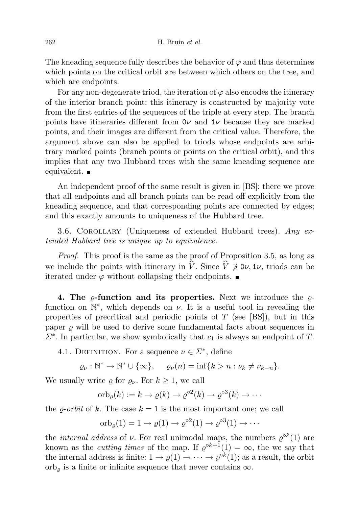The kneading sequence fully describes the behavior of  $\varphi$  and thus determines which points on the critical orbit are between which others on the tree, and which are endpoints.

For any non-degenerate triod, the iteration of  $\varphi$  also encodes the itinerary of the interior branch point: this itinerary is constructed by majority vote from the first entries of the sequences of the triple at every step. The branch points have itineraries different from  $0\nu$  and  $1\nu$  because they are marked points, and their images are different from the critical value. Therefore, the argument above can also be applied to triods whose endpoints are arbitrary marked points (branch points or points on the critical orbit), and this implies that any two Hubbard trees with the same kneading sequence are equivalent. ■

An independent proof of the same result is given in [BS]: there we prove that all endpoints and all branch points can be read off explicitly from the kneading sequence, and that corresponding points are connected by edges; and this exactly amounts to uniqueness of the Hubbard tree.

3.6. COROLLARY (Uniqueness of extended Hubbard trees). Any  $ex$ tended Hubbard tree is unique up to equivalence.

Proof. This proof is the same as the proof of Proposition 3.5, as long as we include the points with itinerary in  $\hat{V}$ . Since  $\hat{V} \not\supset \hat{V}$ , triods can be iterated under  $\varphi$  without collapsing their endpoints.

4. The  $\rho$ -function and its properties. Next we introduce the  $\rho$ function on  $\mathbb{N}^*$ , which depends on  $\nu$ . It is a useful tool in revealing the properties of precritical and periodic points of  $T$  (see [BS]), but in this paper  $\varrho$  will be used to derive some fundamental facts about sequences in  $\Sigma^*$ . In particular, we show symbolically that  $c_1$  is always an endpoint of T.

4.1. DEFINITION. For a sequence  $\nu \in \Sigma^*$ , define

$$
\varrho_{\nu}: \mathbb{N}^* \to \mathbb{N}^* \cup \{\infty\}, \quad \varrho_{\nu}(n) = \inf \{k > n : \nu_k \neq \nu_{k-n}\}.
$$

We usually write  $\rho$  for  $\rho_{\nu}$ . For  $k \geq 1$ , we call

$$
\mathrm{orb}_{\varrho}(k) := k \to \varrho(k) \to \varrho^{\circ 2}(k) \to \varrho^{\circ 3}(k) \to \cdots
$$

the  $\rho$ -*orbit* of k. The case  $k = 1$  is the most important one; we call

$$
\mathrm{orb}_{\varrho}(1) = 1 \to \varrho(1) \to \varrho^{\circ 2}(1) \to \varrho^{\circ 3}(1) \to \cdots
$$

the *internal address* of  $\nu$ . For real unimodal maps, the numbers  $\varrho^{\circ k}(1)$  are known as the *cutting times* of the map. If  $\varrho^{ok+1}(1) = \infty$ , the we say that the internal address is finite:  $1 \to \varrho(1) \to \cdots \to \varrho^{\circ k}(1)$ ; as a result, the orbit  $orb_{\rho}$  is a finite or infinite sequence that never contains  $\infty$ .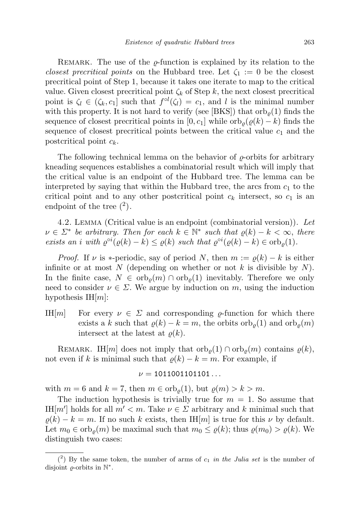REMARK. The use of the  $\rho$ -function is explained by its relation to the closest precritical points on the Hubbard tree. Let  $\zeta_1 := 0$  be the closest precritical point of Step 1, because it takes one iterate to map to the critical value. Given closest precritical point  $\zeta_k$  of Step k, the next closest precritical point is  $\zeta_l \in (\zeta_k, c_1]$  such that  $f^{\circ l}(\zeta_l) = c_1$ , and l is the minimal number with this property. It is not hard to verify (see [BKS]) that  $\text{orb}_{\rho}(1)$  finds the sequence of closest precritical points in [0, c<sub>1</sub>] while  $\mathrm{orb}_{\rho}(\varrho(k) - k)$  finds the sequence of closest precritical points between the critical value  $c_1$  and the postcritical point  $c_k$ .

The following technical lemma on the behavior of  $\rho$ -orbits for arbitrary kneading sequences establishes a combinatorial result which will imply that the critical value is an endpoint of the Hubbard tree. The lemma can be interpreted by saying that within the Hubbard tree, the arcs from  $c_1$  to the critical point and to any other postcritical point  $c_k$  intersect, so  $c_1$  is an endpoint of the tree  $(2)$ .

4.2. Lemma (Critical value is an endpoint (combinatorial version)). Let  $\nu \in \Sigma^*$  be arbitrary. Then for each  $k \in \mathbb{N}^*$  such that  $\varrho(k) - k < \infty$ , there exists an i with  $\varrho^{\circ i}(\varrho(k)-k) \leq \varrho(k)$  such that  $\varrho^{\circ i}(\varrho(k)-k) \in \text{orb}_{\varrho}(1)$ .

*Proof.* If  $\nu$  is \*-periodic, say of period N, then  $m := \rho(k) - k$  is either infinite or at most N (depending on whether or not k is divisible by  $N$ ). In the finite case,  $N \in \text{orb}_{\varrho}(m) \cap \text{orb}_{\varrho}(1)$  inevitably. Therefore we only need to consider  $\nu \in \Sigma$ . We argue by induction on m, using the induction hypothesis  $H[m]$ :

IH[m] For every  $\nu \in \Sigma$  and corresponding  $\rho$ -function for which there exists a k such that  $\varrho(k) - k = m$ , the orbits  $\sigma_{\varrho}(1)$  and  $\sigma_{\varrho}(m)$ intersect at the latest at  $\rho(k)$ .

REMARK. IH $|m|$  does not imply that  $\operatorname{orb}_o(1) \cap \operatorname{orb}_o(m)$  contains  $\varrho(k)$ , not even if k is minimal such that  $\varrho(k) - k = m$ . For example, if

$$
\nu=1011001101101\ldots
$$

with  $m = 6$  and  $k = 7$ , then  $m \in \text{orb}_{\varrho}(1)$ , but  $\varrho(m) > k > m$ .

The induction hypothesis is trivially true for  $m = 1$ . So assume that IH $[m']$  holds for all  $m' < m$ . Take  $\nu \in \Sigma$  arbitrary and k minimal such that  $\rho(k) - k = m$ . If no such k exists, then IH[m] is true for this  $\nu$  by default. Let  $m_0 \in \text{orb}_{\varrho}(m)$  be maximal such that  $m_0 \leq \varrho(k)$ ; thus  $\varrho(m_0) > \varrho(k)$ . We distinguish two cases:

 $(2)$  By the same token, the number of arms of  $c_1$  in the Julia set is the number of disjoint  $\varrho$ -orbits in  $\mathbb{N}^*$ .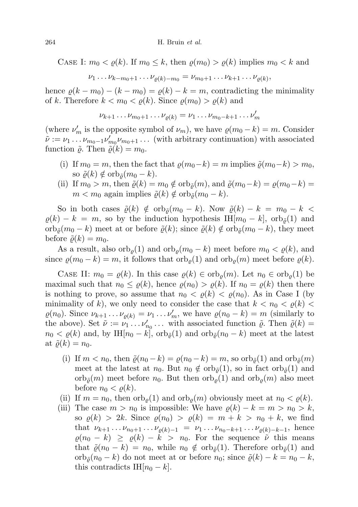CASE I:  $m_0 < \varrho(k)$ . If  $m_0 \leq k$ , then  $\varrho(m_0) > \varrho(k)$  implies  $m_0 < k$  and

$$
\nu_1 \dots \nu_{k-m_0+1} \dots \nu_{\varrho(k)-m_0} = \nu_{m_0+1} \dots \nu_{k+1} \dots \nu_{\varrho(k)},
$$

hence  $\rho(k - m_0) - (k - m_0) = \rho(k) - k = m$ , contradicting the minimality of k. Therefore  $k < m_0 < \varrho(k)$ . Since  $\varrho(m_0) > \varrho(k)$  and

$$
\nu_{k+1}\dots\nu_{m_0+1}\dots\nu_{\varrho(k)}=\nu_1\dots\nu_{m_0-k+1}\dots\nu_m'
$$

(where  $\nu'_m$  is the opposite symbol of  $\nu_m$ ), we have  $\rho(m_0 - k) = m$ . Consider  $\tilde{\nu} := \nu_1 \dots \nu_{m_0-1} \nu'_{m_0} \nu_{m_0+1} \dots$  (with arbitrary continuation) with associated function  $\tilde{\varrho}$ . Then  $\tilde{\varrho}(k) = m_0$ .

- (i) If  $m_0 = m$ , then the fact that  $\rho(m_0-k) = m$  implies  $\tilde{\rho}(m_0-k) > m_0$ , so  $\tilde{\varrho}(k) \notin \text{orb}_{\tilde{\varrho}}(m_0 - k)$ .
- (ii) If  $m_0 > m$ , then  $\tilde{\varrho}(k) = m_0 \notin \text{orb}_{\tilde{\varrho}}(m)$ , and  $\tilde{\varrho}(m_0 k) = \varrho(m_0 k)$  $m < m_0$  again implies  $\tilde{\varrho}(k) \notin \text{orb}_{\tilde{\varrho}}(m_0 - k)$ .

So in both cases  $\tilde{\varrho}(k) \notin \text{orb}_{\tilde{\varrho}}(m_0 - k)$ . Now  $\tilde{\varrho}(k) - k = m_0 - k$  $\varrho(k) - k = m$ , so by the induction hypothesis IH $[m_0 - k]$ , orb $\tilde{\varrho}(1)$  and orb $_{\tilde{\rho}}(m_0 - k)$  meet at or before  $\tilde{\rho}(k)$ ; since  $\tilde{\rho}(k) \notin \text{orb}_{\tilde{\rho}}(m_0 - k)$ , they meet before  $\tilde{\varrho}(k) = m_0$ .

As a result, also orb<sub> $\rho$ </sub>(1) and orb $_{\rho}(m_0 - k)$  meet before  $m_0 < \rho(k)$ , and since  $\varrho(m_0 - k) = m$ , it follows that  $\operatorname{orb}_\varrho(1)$  and  $\operatorname{orb}_\varrho(m)$  meet before  $\varrho(k)$ .

CASE II:  $m_0 = \varrho(k)$ . In this case  $\varrho(k) \in \text{orb}_{\varrho}(m)$ . Let  $n_0 \in \text{orb}_{\varrho}(1)$  be maximal such that  $n_0 \leq \varrho(k)$ , hence  $\varrho(n_0) > \varrho(k)$ . If  $n_0 = \varrho(k)$  then there is nothing to prove, so assume that  $n_0 < \varrho(k) < \varrho(n_0)$ . As in Case I (by minimality of k), we only need to consider the case that  $k < n_0 < \varrho(k)$  $\varrho(n_0)$ . Since  $\nu_{k+1} \dots \nu_{\varrho(k)} = \nu_1 \dots \nu'_m$ , we have  $\varrho(n_0 - k) = m$  (similarly to the above). Set  $\tilde{\nu} := \tilde{\nu_1} \dots \nu'_{n_0} \dots$  with associated function  $\tilde{\varrho}$ . Then  $\tilde{\varrho}(k) =$  $n_0 < \varrho(k)$  and, by IH[ $n_0 - k$ ], orb $\tilde{\varrho}(1)$  and orb $\tilde{\varrho}(n_0 - k)$  meet at the latest at  $\tilde{\varrho}(k) = n_0$ .

- (i) If  $m < n_0$ , then  $\tilde{\varrho}(n_0 k) = \varrho(n_0 k) = m$ , so  $\text{orb}_{\tilde{\varrho}}(1)$  and  $\text{orb}_{\tilde{\varrho}}(m)$ meet at the latest at  $n_0$ . But  $n_0 \notin \text{orb}_{\tilde{\rho}}(1)$ , so in fact  $\text{orb}_{\tilde{\rho}}(1)$  and orb $_{\tilde{\rho}}(m)$  meet before  $n_0$ . But then  $\text{orb}_{\rho}(1)$  and  $\text{orb}_{\rho}(m)$  also meet before  $n_0 < \varrho(k)$ .
- (ii) If  $m = n_0$ , then  $\text{orb}_{\rho}(1)$  and  $\text{orb}_{\rho}(m)$  obviously meet at  $n_0 < \rho(k)$ .
- (iii) The case  $m > n_0$  is impossible: We have  $\varrho(k) k = m > n_0 > k$ , so  $\rho(k) > 2k$ . Since  $\rho(n_0) > \rho(k) = m + k > n_0 + k$ , we find that  $\nu_{k+1} \dots \nu_{n_0+1} \dots \nu_{\varrho(k)-1} = \nu_1 \dots \nu_{n_0-k+1} \dots \nu_{\varrho(k)-k-1}$ , hence  $\varrho(n_0 - k) \geq \varrho(k) - k > n_0$ . For the sequence  $\tilde{\nu}$  this means that  $\tilde{\varrho}(n_0 - k) = n_0$ , while  $n_0 \notin \text{orb}_{\tilde{\varrho}}(1)$ . Therefore  $\text{orb}_{\tilde{\varrho}}(1)$  and  $\operatorname{orb}_{\tilde{\rho}}(n_0 - k)$  do not meet at or before  $n_0$ ; since  $\tilde{\rho}(k) - k = n_0 - k$ , this contradicts IH $[n_0 - k]$ .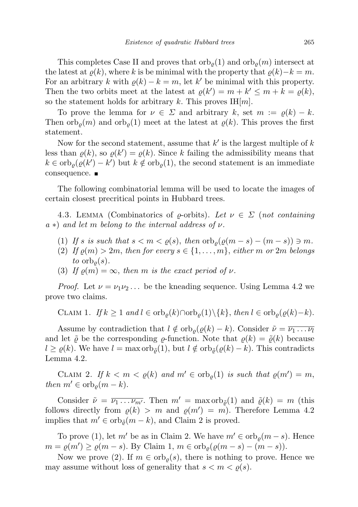This completes Case II and proves that  $\operatorname{orb}_o(1)$  and  $\operatorname{orb}_o(m)$  intersect at the latest at  $\varrho(k)$ , where k is be minimal with the property that  $\varrho(k)-k = m$ . For an arbitrary k with  $\varrho(k) - k = m$ , let k' be minimal with this property. Then the two orbits meet at the latest at  $\varrho(k') = m + k' \le m + k = \varrho(k)$ , so the statement holds for arbitrary k. This proves  $\text{H}[m]$ .

To prove the lemma for  $\nu \in \Sigma$  and arbitrary k, set  $m := \rho(k) - k$ . Then  $\mathrm{orb}_{\rho}(m)$  and  $\mathrm{orb}_{\rho}(1)$  meet at the latest at  $\rho(k)$ . This proves the first statement.

Now for the second statement, assume that  $k'$  is the largest multiple of  $k$ less than  $\varrho(k)$ , so  $\varrho(k') = \varrho(k)$ . Since k failing the admissibility means that  $k \in \mathrm{orb}_{\varrho}(\varrho(k') - k')$  but  $k \notin \mathrm{orb}_{\varrho}(1)$ , the second statement is an immediate consequence. ■

The following combinatorial lemma will be used to locate the images of certain closest precritical points in Hubbard trees.

4.3. LEMMA (Combinatorics of  $\rho$ -orbits). Let  $\nu \in \Sigma$  (not containing  $a *$ ) and let m belong to the internal address of  $\nu$ .

- (1) If s is such that  $s < m < \rho(s)$ , then  $\text{orb}_{\rho}(\rho(m-s)-(m-s)) \ni m$ .
- (2) If  $\varrho(m) > 2m$ , then for every  $s \in \{1, \ldots, m\}$ , either m or  $2m$  belongs to  $\mathrm{orb}_{\rho}(s)$ .
- (3) If  $\rho(m) = \infty$ , then m is the exact period of  $\nu$ .

*Proof.* Let  $\nu = \nu_1 \nu_2 \ldots$  be the kneading sequence. Using Lemma 4.2 we prove two claims.

CLAIM 1. If  $k \geq 1$  and  $l \in \text{orb}_{\rho}(k) \cap \text{orb}_{\rho}(1) \setminus \{k\}$ , then  $l \in \text{orb}_{\rho}(\varrho(k)-k)$ .

Assume by contradiction that  $l \notin \text{orb}_{\rho}(\varrho(k) - k)$ . Consider  $\tilde{\nu} = \overline{\nu_1 \dots \nu_l}$ and let  $\tilde{\varrho}$  be the corresponding  $\rho$ -function. Note that  $\rho(k) = \tilde{\varrho}(k)$  because  $l \ge \varrho(k)$ . We have  $l = \max \mathrm{orb}_{\tilde{\varrho}}(1)$ , but  $l \notin \mathrm{orb}_{\tilde{\varrho}}(\varrho(k) - k)$ . This contradicts Lemma 4.2.

CLAIM 2. If  $k < m < \varrho(k)$  and  $m' \in \text{orb}_{\varrho}(1)$  is such that  $\varrho(m') = m$ , then  $m' \in \text{orb}_{\rho}(m-k)$ .

Consider  $\tilde{\nu} = \overline{\nu_1 \dots \nu_{m'}}$ . Then  $m' = \max \mathrm{orb}_{\tilde{\rho}}(1)$  and  $\tilde{\varrho}(k) = m$  (this follows directly from  $\rho(k) > m$  and  $\rho(m') = m$ . Therefore Lemma 4.2 implies that  $m' \in \text{orb}_{\tilde{\rho}}(m - k)$ , and Claim 2 is proved.

To prove (1), let m' be as in Claim 2. We have  $m' \in \text{orb}_{\rho}(m - s)$ . Hence  $m = \varrho(m') \ge \varrho(m-s)$ . By Claim 1,  $m \in \text{orb}_{\varrho}(\varrho(m-s)-(m-s))$ .

Now we prove (2). If  $m \in \text{orb}_{\rho}(s)$ , there is nothing to prove. Hence we may assume without loss of generality that  $s < m < \varrho(s)$ .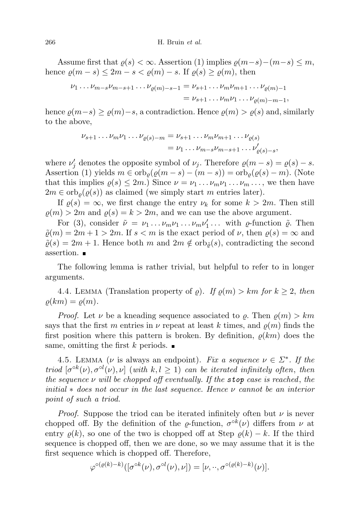Assume first that  $\rho(s) < \infty$ . Assertion (1) implies  $\rho(m-s)-(m-s) \leq m$ , hence  $\varrho(m-s) \leq 2m - s < \varrho(m) - s$ . If  $\varrho(s) \geq \varrho(m)$ , then

$$
\nu_1 \dots \nu_{m-s} \nu_{m-s+1} \dots \nu_{\varrho(m)-s-1} = \nu_{s+1} \dots \nu_m \nu_{m+1} \dots \nu_{\varrho(m)-1}
$$
  
=  $\nu_{s+1} \dots \nu_m \nu_1 \dots \nu_{\varrho(m)-m-1}$ ,

hence  $\rho(m-s) \geq \rho(m)-s$ , a contradiction. Hence  $\rho(m) > \rho(s)$  and, similarly to the above,

$$
\nu_{s+1} \dots \nu_m \nu_1 \dots \nu_{\varrho(s)-m} = \nu_{s+1} \dots \nu_m \nu_{m+1} \dots \nu_{\varrho(s)}
$$
  
=  $\nu_1 \dots \nu_{m-s} \nu_{m-s+1} \dots \nu'_{\varrho(s)-s}$ ,

where  $\nu'_j$  denotes the opposite symbol of  $\nu_j$ . Therefore  $\rho(m-s) = \rho(s) - s$ . Assertion (1) yields  $m \in \text{orb}_{\rho}(\varrho(m-s)-(m-s)) = \text{orb}_{\rho}(\varrho(s)-m)$ . (Note that this implies  $\rho(s) \leq 2m$ .) Since  $\nu = \nu_1 \dots \nu_m \nu_1 \dots \nu_m \dots$ , we then have  $2m \in \text{orb}_{\rho}(\varrho(s))$  as claimed (we simply start m entries later).

If  $\rho(s) = \infty$ , we first change the entry  $\nu_k$  for some  $k > 2m$ . Then still  $\rho(m) > 2m$  and  $\rho(s) = k > 2m$ , and we can use the above argument.

For (3), consider  $\tilde{\nu} = \nu_1 \dots \nu_m \nu_1 \dots \nu_m \nu'_1 \dots$  with  $\varrho$ -function  $\tilde{\varrho}$ . Then  $\tilde{\varrho}(m) = 2m + 1 > 2m$ . If  $s < m$  is the exact period of  $\nu$ , then  $\varrho(s) = \infty$  and  $\tilde{\varrho}(s) = 2m + 1$ . Hence both m and  $2m \notin \text{orb}_{\tilde{\varrho}}(s)$ , contradicting the second assertion.

The following lemma is rather trivial, but helpful to refer to in longer arguments.

4.4. LEMMA (Translation property of  $\rho$ ). If  $\rho(m) > km$  for  $k \geq 2$ , then  $\rho(km) = \rho(m).$ 

*Proof.* Let  $\nu$  be a kneading sequence associated to  $\rho$ . Then  $\rho(m) > km$ says that the first m entries in  $\nu$  repeat at least k times, and  $\rho(m)$  finds the first position where this pattern is broken. By definition,  $\rho(km)$  does the same, omitting the first k periods.  $\blacksquare$ 

4.5. LEMMA ( $\nu$  is always an endpoint). Fix a sequence  $\nu \in \Sigma^*$ . If the triod  $[\sigma^{\circ k}(\nu), \sigma^{\circ l}(\nu), \nu]$  (with  $k, l \geq 1$ ) can be iterated infinitely often, then the sequence  $\nu$  will be chopped off eventually. If the stop case is reached, the initial  $*$  does not occur in the last sequence. Hence  $\nu$  cannot be an interior point of such a triod.

*Proof.* Suppose the triod can be iterated infinitely often but  $\nu$  is never chopped off. By the definition of the  $\varrho$ -function,  $\sigma^{ok}(\nu)$  differs from  $\nu$  at entry  $\rho(k)$ , so one of the two is chopped off at Step  $\rho(k) - k$ . If the third sequence is chopped off, then we are done, so we may assume that it is the first sequence which is chopped off. Therefore,

$$
\varphi^{\circ(\varrho(k)-k)}([\sigma^{\circ k}(\nu),\sigma^{\circ l}(\nu),\nu])=[\nu,\cdot\cdot,\sigma^{\circ(\varrho(k)-k)}(\nu)].
$$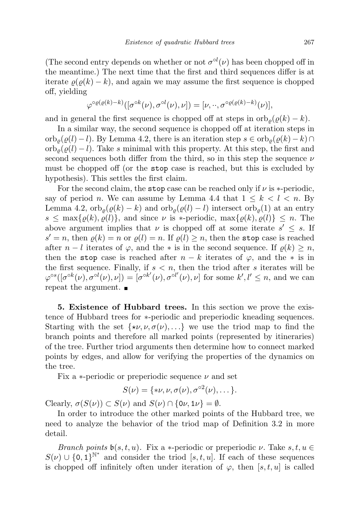(The second entry depends on whether or not  $\sigma^{ol}(\nu)$  has been chopped off in the meantime.) The next time that the first and third sequences differ is at iterate  $\rho(\rho(k) - k)$ , and again we may assume the first sequence is chopped off, yielding

$$
\varphi^{\circ\varrho(\varrho(k)-k)}([\sigma^{\circ k}(\nu),\sigma^{\circ l}(\nu),\nu])=[\nu,\cdot\cdot,\sigma^{\circ\varrho(\varrho(k)-k)}(\nu)],
$$

and in general the first sequence is chopped off at steps in  $\mathrm{orb}_o(\varrho(k) - k)$ .

In a similar way, the second sequence is chopped off at iteration steps in  $\operatorname{orb}_{\rho}(\varrho(l) - l)$ . By Lemma 4.2, there is an iteration step  $s \in \operatorname{orb}_{\rho}(\varrho(k) - k) \cap$  $\int_0^{\infty} \frac{\rho(\rho(l) - l)}{\rho(l)}$ . Take s minimal with this property. At this step, the first and second sequences both differ from the third, so in this step the sequence  $\nu$ must be chopped off (or the stop case is reached, but this is excluded by hypothesis). This settles the first claim.

For the second claim, the stop case can be reached only if  $\nu$  is \*-periodic, say of period n. We can assume by Lemma 4.4 that  $1 \leq k \leq l \leq n$ . By Lemma 4.2,  $\operatorname{orb}_o(\varrho(k) - k)$  and  $\operatorname{orb}_o(\varrho(l) - l)$  intersect  $\operatorname{orb}_o(1)$  at an entry  $s \leq \max\{\varrho(k), \varrho(l)\}\$ , and since  $\nu$  is \*-periodic,  $\max\{\varrho(k), \varrho(l)\}\leq n$ . The above argument implies that  $\nu$  is chopped off at some iterate  $s' \leq s$ . If  $s' = n$ , then  $\varrho(k) = n$  or  $\varrho(l) = n$ . If  $\varrho(l) \geq n$ , then the stop case is reached after  $n - l$  iterates of  $\varphi$ , and the  $*$  is in the second sequence. If  $\rho(k) \geq n$ , then the stop case is reached after  $n - k$  iterates of  $\varphi$ , and the  $*$  is in the first sequence. Finally, if  $s < n$ , then the triod after s iterates will be  $\varphi^{os}([\sigma^{ok}(\nu), \sigma^{ol}(\nu), \nu]) = [\sigma^{ok'}(\nu), \sigma^{ol'}(\nu), \nu]$  for some  $k', l' \leq n$ , and we can repeat the argument.  $\blacksquare$ 

5. Existence of Hubbard trees. In this section we prove the existence of Hubbard trees for ∗-periodic and preperiodic kneading sequences. Starting with the set  $\{\star\nu, \nu, \sigma(\nu), \ldots\}$  we use the triod map to find the branch points and therefore all marked points (represented by itineraries) of the tree. Further triod arguments then determine how to connect marked points by edges, and allow for verifying the properties of the dynamics on the tree.

Fix a  $\ast$ -periodic or preperiodic sequence  $\nu$  and set

$$
S(\nu) = \{*\nu, \nu, \sigma(\nu), \sigma^{\circ 2}(\nu), \dots\}.
$$

Clearly,  $\sigma(S(\nu)) \subset S(\nu)$  and  $S(\nu) \cap \{0\nu, 1\nu\} = \emptyset$ .

In order to introduce the other marked points of the Hubbard tree, we need to analyze the behavior of the triod map of Definition 3.2 in more detail.

Branch points  $\mathfrak{b}(s,t,u)$ . Fix a \*-periodic or preperiodic  $\nu$ . Take  $s, t, u \in$  $S(\nu) \cup \{0,1\}^{\mathbb{N}^*}$  and consider the triod  $[s, t, u]$ . If each of these sequences is chopped off infinitely often under iteration of  $\varphi$ , then [s, t, u] is called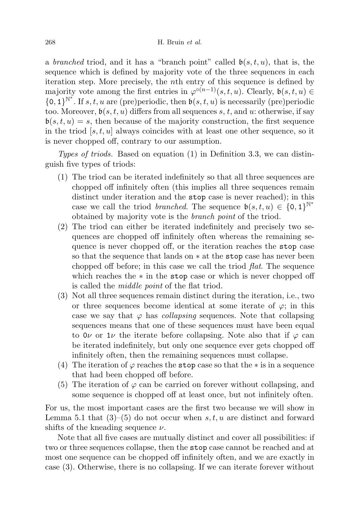a branched triod, and it has a "branch point" called  $\mathfrak{b}(s,t,u)$ , that is, the sequence which is defined by majority vote of the three sequences in each iteration step. More precisely, the nth entry of this sequence is defined by majority vote among the first entries in  $\varphi^{\circ(n-1)}(s,t,u)$ . Clearly,  $\mathfrak{b}(s,t,u) \in$  ${0,1}^{\mathbb{N}^*}$ . If s, t, u are (pre)periodic, then  $b(s,t,u)$  is necessarily (pre)periodic too. Moreover,  $b(s, t, u)$  differs from all sequences s, t, and u: otherwise, if say  $\mathfrak{b}(s,t,u) = s$ , then because of the majority construction, the first sequence in the triod  $[s, t, u]$  always coincides with at least one other sequence, so it is never chopped off, contrary to our assumption.

Types of triods. Based on equation  $(1)$  in Definition 3.3, we can distinguish five types of triods:

- (1) The triod can be iterated indefinitely so that all three sequences are chopped off infinitely often (this implies all three sequences remain distinct under iteration and the stop case is never reached); in this case we call the triod *branched*. The sequence  $\mathfrak{b}(s,t,u) \in \{0,1\}^{\mathbb{N}^*}$ obtained by majority vote is the branch point of the triod.
- (2) The triod can either be iterated indefinitely and precisely two sequences are chopped off infinitely often whereas the remaining sequence is never chopped off, or the iteration reaches the stop case so that the sequence that lands on ∗ at the stop case has never been chopped off before; in this case we call the triod flat. The sequence which reaches the ∗ in the stop case or which is never chopped off is called the middle point of the flat triod.
- (3) Not all three sequences remain distinct during the iteration, i.e., two or three sequences become identical at some iterate of  $\varphi$ ; in this case we say that  $\varphi$  has *collapsing* sequences. Note that collapsing sequences means that one of these sequences must have been equal to  $0\nu$  or  $1\nu$  the iterate before collapsing. Note also that if  $\varphi$  can be iterated indefinitely, but only one sequence ever gets chopped off infinitely often, then the remaining sequences must collapse.
- (4) The iteration of  $\varphi$  reaches the stop case so that the  $*$  is in a sequence that had been chopped off before.
- (5) The iteration of  $\varphi$  can be carried on forever without collapsing, and some sequence is chopped off at least once, but not infinitely often.

For us, the most important cases are the first two because we will show in Lemma 5.1 that  $(3)$ – $(5)$  do not occur when s, t, u are distinct and forward shifts of the kneading sequence  $\nu$ .

Note that all five cases are mutually distinct and cover all possibilities: if two or three sequences collapse, then the stop case cannot be reached and at most one sequence can be chopped off infinitely often, and we are exactly in case (3). Otherwise, there is no collapsing. If we can iterate forever without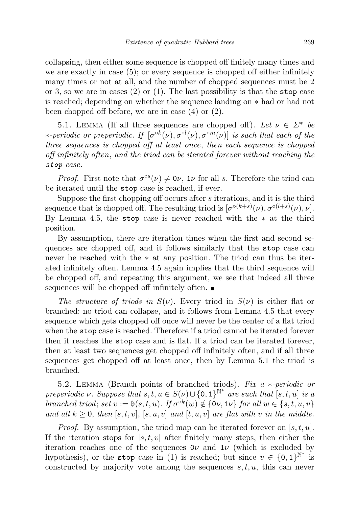collapsing, then either some sequence is chopped off finitely many times and we are exactly in case (5); or every sequence is chopped off either infinitely many times or not at all, and the number of chopped sequences must be 2 or 3, so we are in cases  $(2)$  or  $(1)$ . The last possibility is that the stop case is reached; depending on whether the sequence landing on ∗ had or had not been chopped off before, we are in case (4) or (2).

5.1. LEMMA (If all three sequences are chopped off). Let  $\nu \in \Sigma^*$  be  $*$ -periodic or preperiodic. If  $\lbrack \sigma^{\circ k}(\nu),\sigma^{\circ l}(\nu),\sigma^{\circ m}(\nu) \rbrack$  is such that each of the three sequences is chopped off at least once, then each sequence is chopped off infinitely often, and the triod can be iterated forever without reaching the stop case.

*Proof.* First note that  $\sigma^{\circ s}(\nu) \neq 0\nu$ ,  $1\nu$  for all s. Therefore the triod can be iterated until the stop case is reached, if ever.

Suppose the first chopping off occurs after s iterations, and it is the third sequence that is chopped off. The resulting triod is  $\lbrack \sigma^{\circ (k+s)}(\nu),\sigma^{\circ (l+s)}(\nu),\nu \rbrack$ . By Lemma 4.5, the stop case is never reached with the  $*$  at the third position.

By assumption, there are iteration times when the first and second sequences are chopped off, and it follows similarly that the stop case can never be reached with the ∗ at any position. The triod can thus be iterated infinitely often. Lemma 4.5 again implies that the third sequence will be chopped off, and repeating this argument, we see that indeed all three sequences will be chopped off infinitely often.

The structure of triods in  $S(\nu)$ . Every triod in  $S(\nu)$  is either flat or branched: no triod can collapse, and it follows from Lemma 4.5 that every sequence which gets chopped off once will never be the center of a flat triod when the stop case is reached. Therefore if a triod cannot be iterated forever then it reaches the stop case and is flat. If a triod can be iterated forever, then at least two sequences get chopped off infinitely often, and if all three sequences get chopped off at least once, then by Lemma 5.1 the triod is branched.

5.2. Lemma (Branch points of branched triods). Fix a ∗-periodic or preperiodic  $\nu$ . Suppose that  $s, t, u \in S(\nu) \cup \{0, 1\}^{\mathbb{N}^*}$  are such that  $[s, t, u]$  is a branched triod; set  $v := \mathfrak{b}(s, t, u)$ . If  $\sigma^{\circ k}(w) \notin \{0\nu, 1\nu\}$  for all  $w \in \{s, t, u, v\}$ and all  $k \geq 0$ , then  $[s, t, v]$ ,  $[s, u, v]$  and  $[t, u, v]$  are flat with v in the middle.

*Proof.* By assumption, the triod map can be iterated forever on  $[s, t, u]$ . If the iteration stops for  $[s, t, v]$  after finitely many steps, then either the iteration reaches one of the sequences  $0\nu$  and  $1\nu$  (which is excluded by hypothesis), or the stop case in (1) is reached; but since  $v \in \{0,1\}^{\mathbb{N}^*}$  is constructed by majority vote among the sequences  $s, t, u$ , this can never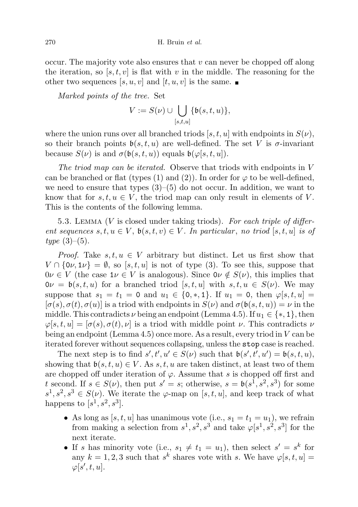occur. The majority vote also ensures that  $v$  can never be chopped off along the iteration, so  $[s, t, v]$  is flat with v in the middle. The reasoning for the other two sequences  $[s, u, v]$  and  $[t, u, v]$  is the same.

Marked points of the tree. Set

$$
V:=S(\nu)\cup\bigcup_{[s,t,u]}\{\mathfrak{b}(s,t,u)\},
$$

where the union runs over all branched triods  $[s, t, u]$  with endpoints in  $S(\nu)$ , so their branch points  $\mathfrak{b}(s, t, u)$  are well-defined. The set V is  $\sigma$ -invariant because  $S(\nu)$  is and  $\sigma(\mathfrak{b}(s,t,u))$  equals  $\mathfrak{b}(\varphi[s,t,u])$ .

The triod map can be iterated. Observe that triods with endpoints in V can be branched or flat (types (1) and (2)). In order for  $\varphi$  to be well-defined, we need to ensure that types  $(3)-(5)$  do not occur. In addition, we want to know that for  $s, t, u \in V$ , the triod map can only result in elements of V. This is the contents of the following lemma.

5.3. LEMMA ( $V$  is closed under taking triods). For each triple of different sequences  $s, t, u \in V$ ,  $\mathfrak{b}(s, t, v) \in V$ . In particular, no triod  $[s, t, u]$  is of  $type (3)–(5).$ 

*Proof.* Take  $s, t, u \in V$  arbitrary but distinct. Let us first show that  $V \cap \{0\nu, 1\nu\} = \emptyset$ , so  $[s, t, u]$  is not of type (3). To see this, suppose that  $0\nu \in V$  (the case  $1\nu \in V$  is analogous). Since  $0\nu \notin S(\nu)$ , this implies that  $0\nu = b(s, t, u)$  for a branched triod  $[s, t, u]$  with  $s, t, u \in S(\nu)$ . We may suppose that  $s_1 = t_1 = 0$  and  $u_1 \in \{0,*,1\}$ . If  $u_1 = 0$ , then  $\varphi[s,t,u] =$  $[\sigma(s), \sigma(t), \sigma(u)]$  is a triod with endpoints in  $S(\nu)$  and  $\sigma(\mathfrak{b}(s,t,u)) = \nu$  in the middle. This contradicts  $\nu$  being an endpoint (Lemma 4.5). If  $u_1 \in \{*, 1\}$ , then  $\varphi[s, t, u] = [\sigma(s), \sigma(t), \nu]$  is a triod with middle point  $\nu$ . This contradicts  $\nu$ being an endpoint (Lemma 4.5) once more. As a result, every triod in V can be iterated forever without sequences collapsing, unless the stop case is reached.

The next step is to find  $s', t', u' \in S(\nu)$  such that  $\mathfrak{b}(s', t', u') = \mathfrak{b}(s, t, u)$ , showing that  $\mathfrak{b}(s, t, u) \in V$ . As s, t, u are taken distinct, at least two of them are chopped off under iteration of  $\varphi$ . Assume that s is chopped off first and t second. If  $s \in S(\nu)$ , then put  $s' = s$ ; otherwise,  $s = \mathfrak{b}(s^1, s^2, s^3)$  for some  $s^1, s^2, s^3 \in S(\nu)$ . We iterate the  $\varphi$ -map on [s, t, u], and keep track of what happens to  $[s^1, s^2, s^3]$ .

- As long as  $[s, t, u]$  has unanimous vote (i.e.,  $s_1 = t_1 = u_1$ ), we refrain from making a selection from  $s^1, s^2, s^3$  and take  $\varphi[s^1, s^2, s^3]$  for the next iterate.
- If s has minority vote (i.e.,  $s_1 \neq t_1 = u_1$ ), then select  $s' = s^k$  for any  $k = 1, 2, 3$  such that  $s^k$  shares vote with s. We have  $\varphi[s, t, u] =$  $\varphi[s',t,u].$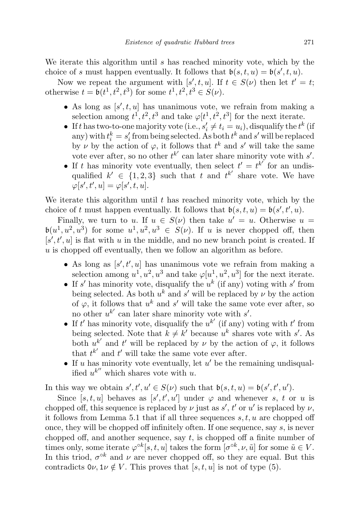We iterate this algorithm until s has reached minority vote, which by the choice of s must happen eventually. It follows that  $\mathfrak{b}(s,t,u) = \mathfrak{b}(s',t,u)$ .

Now we repeat the argument with  $[s', t, u]$ . If  $t \in S(\nu)$  then let  $t' = t$ ; otherwise  $t = \mathfrak{b}(t^1, t^2, t^3)$  for some  $t^1, t^2, t^3 \in S(\nu)$ .

- As long as  $[s', t, u]$  has unanimous vote, we refrain from making a selection among  $t^1, t^2, t^3$  and take  $\varphi[t^1, t^2, t^3]$  for the next iterate.
- If t has two-to-one majority vote (i.e.,  $s'_i \neq t_i = u_i$ ), disqualify the  $t^k$  (if any) with  $t_i^k = s_i'$  from being selected. As both  $t^k$  and  $s'$  will be replaced by  $\nu$  by the action of  $\varphi$ , it follows that  $t^k$  and  $s'$  will take the same vote ever after, so no other  $t^{k'}$  can later share minority vote with  $s'$ .
- If t has minority vote eventually, then select  $t' = t^{k'}$  for an undisqualified  $k' \in \{1,2,3\}$  such that t and  $t^{k'}$  share vote. We have  $\varphi[s',t',u] = \varphi[s',t,u].$

We iterate this algorithm until  $t$  has reached minority vote, which by the choice of t must happen eventually. It follows that  $\mathfrak{b}(s,t,u) = \mathfrak{b}(s',t',u)$ .

Finally, we turn to u. If  $u \in S(\nu)$  then take  $u' = u$ . Otherwise  $u =$  $\mathfrak{b}(u^1, u^2, u^3)$  for some  $u^1, u^2, u^3 \in S(\nu)$ . If u is never chopped off, then  $[s', t', u]$  is flat with u in the middle, and no new branch point is created. If  $u$  is chopped off eventually, then we follow an algorithm as before.

- As long as  $[s', t', u]$  has unanimous vote we refrain from making a selection among  $u^1, u^2, u^3$  and take  $\varphi[u^1, u^2, u^3]$  for the next iterate.
- If s' has minority vote, disqualify the  $u^k$  (if any) voting with s' from being selected. As both  $u^k$  and s' will be replaced by  $\nu$  by the action of  $\varphi$ , it follows that  $u^k$  and  $s'$  will take the same vote ever after, so no other  $u^{k'}$  can later share minority vote with  $s'$ .
- If t' has minority vote, disqualify the  $u^{k'}$  (if any) voting with t' from being selected. Note that  $k \neq k'$  because  $u^k$  shares vote with s'. As both  $u^{k'}$  and  $t'$  will be replaced by  $\nu$  by the action of  $\varphi$ , it follows that  $t^{k'}$  and  $t'$  will take the same vote ever after.
- If u has minority vote eventually, let  $u'$  be the remaining undisqualified  $u^{k''}$  which shares vote with u.

In this way we obtain  $s', t', u' \in S(\nu)$  such that  $\mathfrak{b}(s, t, u) = \mathfrak{b}(s', t', u')$ .

Since  $[s, t, u]$  behaves as  $[s', t', u']$  under  $\varphi$  and whenever s, t or u is chopped off, this sequence is replaced by  $\nu$  just as  $s'$ ,  $t'$  or  $u'$  is replaced by  $\nu$ , it follows from Lemma 5.1 that if all three sequences  $s, t, u$  are chopped off once, they will be chopped off infinitely often. If one sequence, say s, is never chopped off, and another sequence, say  $t$ , is chopped off a finite number of times only, some iterate  $\varphi^{\circ k}[s, t, u]$  takes the form  $[\sigma^{\circ k}, \nu, \tilde{u}]$  for some  $\tilde{u} \in V$ . In this triod,  $\sigma^{\circ k}$  and  $\nu$  are never chopped off, so they are equal. But this contradicts  $0\nu, 1\nu \notin V$ . This proves that  $[s, t, u]$  is not of type (5).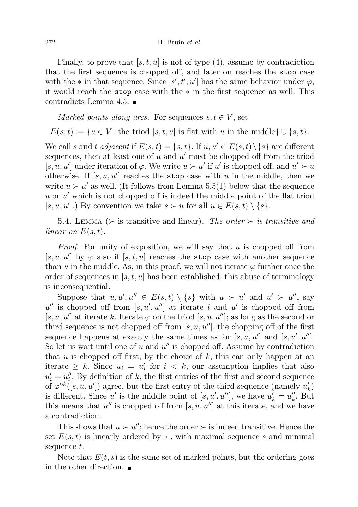Finally, to prove that  $[s, t, u]$  is not of type  $(4)$ , assume by contradiction that the first sequence is chopped off, and later on reaches the stop case with the  $*$  in that sequence. Since  $[s', t', u']$  has the same behavior under  $\varphi$ , it would reach the stop case with the ∗ in the first sequence as well. This contradicts Lemma 4.5.

Marked points along arcs. For sequences  $s, t \in V$ , set

 $E(s,t) := \{u \in V: \text{the triod } [s,t,u] \text{ is flat with } u \text{ in the middle}\} \cup \{s,t\}.$ 

We call s and t adjacent if  $E(s, t) = \{s, t\}$ . If  $u, u' \in E(s, t) \setminus \{s\}$  are different sequences, then at least one of u and  $u'$  must be chopped off from the triod [s, u, u'] under iteration of  $\varphi$ . We write  $u \succ u'$  if u' is chopped off, and  $u' \succ u$ otherwise. If  $[s, u, u']$  reaches the stop case with u in the middle, then we write  $u > u'$  as well. (It follows from Lemma 5.5(1) below that the sequence  $u$  or  $u'$  which is not chopped off is indeed the middle point of the flat triod  $[s, u, u']$ .) By convention we take  $s \succ u$  for all  $u \in E(s, t) \setminus \{s\}$ .

5.4. LEMMA ( $\succ$  is transitive and linear). The order  $\succ$  is transitive and linear on  $E(s,t)$ .

*Proof.* For unity of exposition, we will say that  $u$  is chopped off from [s, u, u'] by  $\varphi$  also if [s, t, u] reaches the stop case with another sequence than u in the middle. As, in this proof, we will not iterate  $\varphi$  further once the order of sequences in  $[s, t, u]$  has been established, this abuse of terminology is inconsequential.

Suppose that  $u, u', u'' \in E(s,t) \setminus \{s\}$  with  $u \succ u'$  and  $u' \succ u''$ , say  $u''$  is chopped off from  $[s, u', u'']$  at iterate l and u' is chopped off from [s, u, u'] at iterate k. Iterate  $\varphi$  on the triod [s, u, u'']; as long as the second or third sequence is not chopped off from [s, u, u''], the chopping off of the first sequence happens at exactly the same times as for  $[s, u, u']$  and  $[s, u', u'']$ . So let us wait until one of  $u$  and  $u''$  is chopped off. Assume by contradiction that u is chopped off first; by the choice of  $k$ , this can only happen at an iterate  $\geq k$ . Since  $u_i = u'_i$  for  $i < k$ , our assumption implies that also  $u'_{i} = u''_{i}$ . By definition of k, the first entries of the first and second sequence of  $\varphi^{\circ k}([s, u, u'])$  agree, but the first entry of the third sequence (namely  $u'_k$ ) is different. Since u' is the middle point of  $[s, u', u'']$ , we have  $u'_k = u''_k$ . But this means that  $u''$  is chopped off from  $[s, u, u'']$  at this iterate, and we have a contradiction.

This shows that  $u \succ u''$ ; hence the order  $\succ$  is indeed transitive. Hence the set  $E(s, t)$  is linearly ordered by  $\succ$ , with maximal sequence s and minimal sequence t.

Note that  $E(t, s)$  is the same set of marked points, but the ordering goes in the other direction.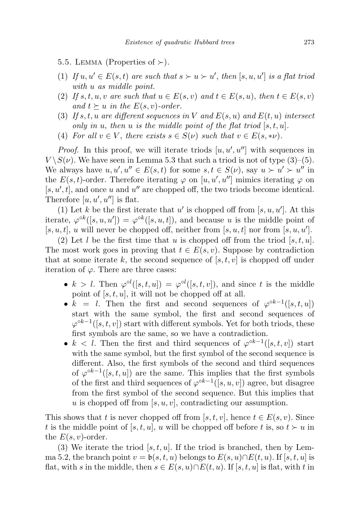5.5. LEMMA (Properties of  $\succ$ ).

- (1) If  $u, u' \in E(s, t)$  are such that  $s \succ u \succ u'$ , then  $[s, u, u']$  is a flat triod with u as middle point.
- (2) If s, t, u, v are such that  $u \in E(s, v)$  and  $t \in E(s, u)$ , then  $t \in E(s, v)$ and  $t \succeq u$  in the  $E(s, v)$ -order.
- (3) If s, t, u are different sequences in V and  $E(s, u)$  and  $E(t, u)$  intersect only in u, then u is the middle point of the flat triod  $[s, t, u]$ .
- (4) For all  $v \in V$ , there exists  $s \in S(\nu)$  such that  $v \in E(s, *\nu)$ .

*Proof.* In this proof, we will iterate triods  $[u, u', u'']$  with sequences in  $V \setminus S(\nu)$ . We have seen in Lemma 5.3 that such a triod is not of type (3)–(5). We always have  $u, u', u'' \in E(s, t)$  for some  $s, t \in S(\nu)$ , say  $u \succ u' \succ u''$  in the  $E(s,t)$ -order. Therefore iterating  $\varphi$  on  $[u, u', u'']$  mimics iterating  $\varphi$  on  $[s, u', t]$ , and once u and u'' are chopped off, the two triods become identical. Therefore  $[u, u', u'']$  is flat.

(1) Let k be the first iterate that u' is chopped off from  $[s, u, u']$ . At this iterate,  $\varphi^{\circ k}([s, u, u']) = \varphi^{\circ k}([s, u, t])$ , and because u is the middle point of [s, u, t], u will never be chopped off, neither from [s, u, t] nor from [s, u, u'].

(2) Let l be the first time that u is chopped off from the triod  $[s, t, u]$ . The most work goes in proving that  $t \in E(s, v)$ . Suppose by contradiction that at some iterate k, the second sequence of  $[s, t, v]$  is chopped off under iteration of  $\varphi$ . There are three cases:

- $k > l$ . Then  $\varphi^{\circ l}([s,t,u]) = \varphi^{\circ l}([s,t,v])$ , and since t is the middle point of  $[s, t, u]$ , it will not be chopped off at all.
- $k = l$ . Then the first and second sequences of  $\varphi^{ok-1}([s,t,u])$ start with the same symbol, the first and second sequences of  $\varphi^{\circ k-1}([s,t,v])$  start with different symbols. Yet for both triods, these first symbols are the same, so we have a contradiction.
- $k < l$ . Then the first and third sequences of  $\varphi^{ok-1}([s,t,v])$  start with the same symbol, but the first symbol of the second sequence is different. Also, the first symbols of the second and third sequences of  $\varphi^{\circ k-1}([s,t,u])$  are the same. This implies that the first symbols of the first and third sequences of  $\varphi^{\circ k-1}([s, u, v])$  agree, but disagree from the first symbol of the second sequence. But this implies that u is chopped off from  $[s, u, v]$ , contradicting our assumption.

This shows that t is never chopped off from [s, t, v], hence  $t \in E(s, v)$ . Since t is the middle point of  $[s, t, u]$ , u will be chopped off before t is, so  $t \succ u$  in the  $E(s, v)$ -order.

(3) We iterate the triod  $[s, t, u]$ . If the triod is branched, then by Lemma 5.2, the branch point  $v = \mathfrak{b}(s, t, u)$  belongs to  $E(s, u) \cap E(t, u)$ . If [s, t, u] is flat, with s in the middle, then  $s \in E(s, u) \cap E(t, u)$ . If [s, t, u] is flat, with t in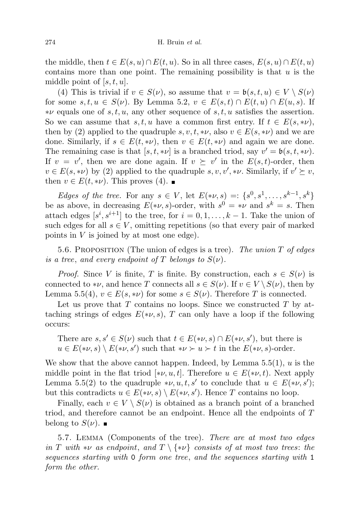the middle, then  $t \in E(s, u) \cap E(t, u)$ . So in all three cases,  $E(s, u) \cap E(t, u)$ contains more than one point. The remaining possibility is that  $u$  is the middle point of  $[s, t, u]$ .

(4) This is trivial if  $v \in S(\nu)$ , so assume that  $v = \mathfrak{b}(s, t, u) \in V \setminus S(\nu)$ for some  $s, t, u \in S(\nu)$ . By Lemma 5.2,  $v \in E(s, t) \cap E(t, u) \cap E(u, s)$ . If  $*\nu$  equals one of s, t, u, any other sequence of s, t, u satisfies the assertion. So we can assume that s, t, u have a common first entry. If  $t \in E(s, *\nu)$ , then by (2) applied to the quadruple  $s, v, t, * \nu$ , also  $v \in E(s, *\nu)$  and we are done. Similarly, if  $s \in E(t, *\nu)$ , then  $v \in E(t, *\nu)$  and again we are done. The remaining case is that  $[s, t, * \nu]$  is a branched triod, say  $v' = \mathfrak{b}(s, t, * \nu)$ . If  $v = v'$ , then we are done again. If  $v \geq v'$  in the  $E(s, t)$ -order, then  $v \in E(s, * \nu)$  by (2) applied to the quadruple  $s, v, v', * \nu$ . Similarly, if  $v' \succeq v$ , then  $v \in E(t, * \nu)$ . This proves (4).

*Edges of the tree.* For any  $s \in V$ , let  $E(*\nu, s) =: \{s^0, s^1, \ldots, s^{k-1}, s^k\}$ be as above, in decreasing  $E(*\nu, s)$ -order, with  $s^0 = * \nu$  and  $s^k = s$ . Then attach edges  $[s^i, s^{i+1}]$  to the tree, for  $i = 0, 1, ..., k-1$ . Take the union of such edges for all  $s \in V$ , omitting repetitions (so that every pair of marked points in  $V$  is joined by at most one edge).

5.6. PROPOSITION (The union of edges is a tree). The union  $T$  of edges is a tree, and every endpoint of T belongs to  $S(\nu)$ .

*Proof.* Since V is finite, T is finite. By construction, each  $s \in S(\nu)$  is connected to \*v, and hence T connects all  $s \in S(\nu)$ . If  $v \in V \setminus S(\nu)$ , then by Lemma 5.5(4),  $v \in E(s, * \nu)$  for some  $s \in S(\nu)$ . Therefore T is connected.

Let us prove that  $T$  contains no loops. Since we constructed  $T$  by attaching strings of edges  $E(*\nu, s)$ , T can only have a loop if the following occurs:

There are  $s, s' \in S(\nu)$  such that  $t \in E(*\nu, s) \cap E(*\nu, s')$ , but there is  $u \in E(*\nu, s) \setminus E(*\nu, s')$  such that  $*\nu \succ u \succ t$  in the  $E(*\nu, s)$ -order.

We show that the above cannot happen. Indeed, by Lemma  $5.5(1)$ , u is the middle point in the flat triod  $[\ast \nu, u, t]$ . Therefore  $u \in E(\ast \nu, t)$ . Next apply Lemma 5.5(2) to the quadruple  $*\nu, u, t, s'$  to conclude that  $u \in E(*\nu, s')$ ; but this contradicts  $u \in E(*\nu, s) \setminus E(*\nu, s')$ . Hence T contains no loop.

Finally, each  $v \in V \setminus S(v)$  is obtained as a branch point of a branched triod, and therefore cannot be an endpoint. Hence all the endpoints of T belong to  $S(\nu)$ .

5.7. Lemma (Components of the tree). There are at most two edges in T with \*v as endpoint, and  $T \setminus {\ast \nu}$  consists of at most two trees: the sequences starting with 0 form one tree, and the sequences starting with 1 form the other.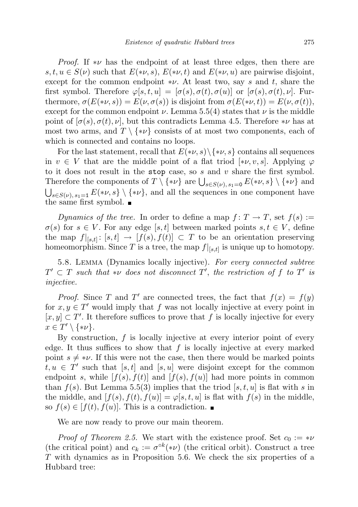*Proof.* If  $*\nu$  has the endpoint of at least three edges, then there are  $s, t, u \in S(\nu)$  such that  $E(*\nu, s), E(*\nu, t)$  and  $E(*\nu, u)$  are pairwise disjoint, except for the common endpoint  $*\nu$ . At least two, say s and t, share the first symbol. Therefore  $\varphi[s, t, u] = [\sigma(s), \sigma(t), \sigma(u)]$  or  $[\sigma(s), \sigma(t), \nu]$ . Furthermore,  $\sigma(E(*\nu, s)) = E(\nu, \sigma(s))$  is disjoint from  $\sigma(E(*\nu, t)) = E(\nu, \sigma(t)),$ except for the common endpoint  $\nu$ . Lemma 5.5(4) states that  $\nu$  is the middle point of  $[\sigma(s), \sigma(t), \nu]$ , but this contradicts Lemma 4.5. Therefore  $*\nu$  has at most two arms, and  $T \setminus \{*\nu\}$  consists of at most two components, each of which is connected and contains no loops.

For the last statement, recall that  $E(*\nu, s) \setminus \{*\nu, s\}$  contains all sequences in  $v \in V$  that are the middle point of a flat triod [\* $\nu, v, s$ ]. Applying  $\varphi$ to it does not result in the stop case, so  $s$  and  $v$  share the first symbol. Therefore the components of  $T \setminus {\ast \nu}$  are  $\bigcup_{s \in S(\nu), s_1 = 0} E({*\nu, s} \setminus {\ast \nu}$  and  $\bigcup_{s\in S(\nu), s_1=1} E(*\nu, s] \setminus \{*\nu\}$ , and all the sequences in one component have the same first symbol.  $\blacksquare$ 

Dynamics of the tree. In order to define a map  $f: T \to T$ , set  $f(s) :=$  $\sigma(s)$  for  $s \in V$ . For any edge [s, t] between marked points  $s, t \in V$ , define the map  $f|_{[s,t]} : [s,t] \to [f(s), f(t)] \subset T$  to be an orientation preserving homeomorphism. Since T is a tree, the map  $f|_{[s,t]}$  is unique up to homotopy.

5.8. Lemma (Dynamics locally injective). For every connected subtree  $T' \subset T$  such that \*v does not disconnect  $T'$ , the restriction of f to  $T'$  is injective.

*Proof.* Since T and T' are connected trees, the fact that  $f(x) = f(y)$ for  $x, y \in T'$  would imply that f was not locally injective at every point in  $[x, y] \subset T'$ . It therefore suffices to prove that f is locally injective for every  $x \in T' \setminus \{*\nu\}.$ 

By construction,  $f$  is locally injective at every interior point of every edge. It thus suffices to show that  $f$  is locally injective at every marked point  $s \neq * \nu$ . If this were not the case, then there would be marked points  $t, u \in T'$  such that [s, t] and [s, u] were disjoint except for the common endpoint s, while  $[f(s), f(t)]$  and  $[f(s), f(u)]$  had more points in common than  $f(s)$ . But Lemma 5.5(3) implies that the triod [s, t, u] is flat with s in the middle, and  $[f(s), f(t), f(u)] = \varphi[s, t, u]$  is flat with  $f(s)$  in the middle, so  $f(s) \in [f(t), f(u)]$ . This is a contradiction.

We are now ready to prove our main theorem.

*Proof of Theorem 2.5.* We start with the existence proof. Set  $c_0 := * \nu$ (the critical point) and  $c_k := \sigma^{\circ k}(*\nu)$  (the critical orbit). Construct a tree T with dynamics as in Proposition 5.6. We check the six properties of a Hubbard tree: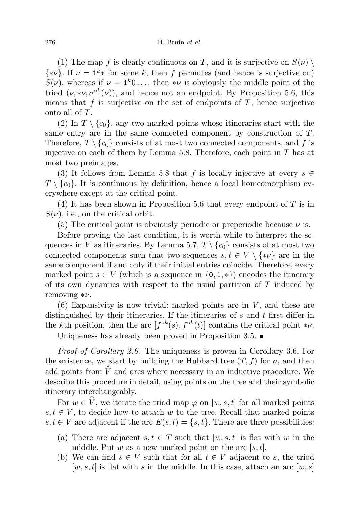(1) The map f is clearly continuous on T, and it is surjective on  $S(\nu) \setminus$  $\{\ast \nu\}$ . If  $\nu = 1^k \ast$  for some k, then f permutes (and hence is surjective on)  $S(\nu)$ , whereas if  $\nu = \mathbf{1}^k 0 \ldots$ , then  $*\nu$  is obviously the middle point of the triod  $(\nu, * \nu, \sigma^{\circ k}(\nu))$ , and hence not an endpoint. By Proposition 5.6, this means that f is surjective on the set of endpoints of  $T$ , hence surjective onto all of T.

(2) In  $T \setminus \{c_0\}$ , any two marked points whose itineraries start with the same entry are in the same connected component by construction of T. Therefore,  $T \setminus \{c_0\}$  consists of at most two connected components, and f is injective on each of them by Lemma 5.8. Therefore, each point in  $T$  has at most two preimages.

(3) It follows from Lemma 5.8 that f is locally injective at every  $s \in$  $T \setminus \{c_0\}$ . It is continuous by definition, hence a local homeomorphism everywhere except at the critical point.

(4) It has been shown in Proposition 5.6 that every endpoint of  $T$  is in  $S(\nu)$ , i.e., on the critical orbit.

(5) The critical point is obviously periodic or preperiodic because  $\nu$  is.

Before proving the last condition, it is worth while to interpret the sequences in V as itineraries. By Lemma 5.7,  $T \setminus \{c_0\}$  consists of at most two connected components such that two sequences  $s, t \in V \setminus \{*\nu\}$  are in the same component if and only if their initial entries coincide. Therefore, every marked point  $s \in V$  (which is a sequence in  $\{0, 1, *\}$ ) encodes the itinerary of its own dynamics with respect to the usual partition of  $T$  induced by removing  $*\nu$ .

 $(6)$  Expansivity is now trivial: marked points are in V, and these are distinguished by their itineraries. If the itineraries of s and t first differ in the kth position, then the arc  $[f^{\circ k}(s), f^{\circ k}(t)]$  contains the critical point \*v.

Uniqueness has already been proved in Proposition 3.5.

Proof of Corollary 2.6. The uniqueness is proven in Corollary 3.6. For the existence, we start by building the Hubbard tree  $(T, f)$  for  $\nu$ , and then add points from  $\hat{V}$  and arcs where necessary in an inductive procedure. We describe this procedure in detail, using points on the tree and their symbolic itinerary interchangeably.

For  $w \in \hat{V}$ , we iterate the triod map  $\varphi$  on  $[w, s, t]$  for all marked points  $s, t \in V$ , to decide how to attach w to the tree. Recall that marked points  $s, t \in V$  are adjacent if the arc  $E(s, t) = \{s, t\}$ . There are three possibilities:

- (a) There are adjacent  $s, t \in T$  such that  $[w, s, t]$  is flat with w in the middle. Put w as a new marked point on the arc  $[s, t]$ .
- (b) We can find  $s \in V$  such that for all  $t \in V$  adjacent to s, the triod  $[w, s, t]$  is flat with s in the middle. In this case, attach an arc  $[w, s]$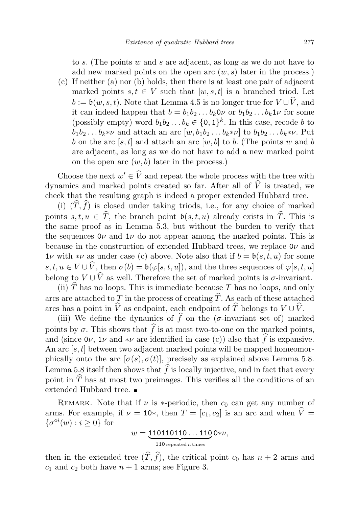to s. (The points w and s are adjacent, as long as we do not have to add new marked points on the open arc  $(w, s)$  later in the process.)

(c) If neither (a) nor (b) holds, then there is at least one pair of adjacent marked points  $s, t \in V$  such that  $[w, s, t]$  is a branched triod. Let  $b := \mathfrak{b}(w, s, t)$ . Note that Lemma 4.5 is no longer true for  $V \cup \widehat{V}$ , and it can indeed happen that  $b = b_1b_2 \ldots b_k0\nu$  or  $b_1b_2 \ldots b_k1\nu$  for some (possibly empty) word  $b_1b_2...b_k \in \{0,1\}^k$ . In this case, recode b to  $b_1b_2 \ldots b_k * \nu$  and attach an arc  $[w, b_1b_2 \ldots b_k * \nu]$  to  $b_1b_2 \ldots b_k * \nu$ . Put b on the arc [s, t] and attach an arc [w, b] to b. (The points w and b are adjacent, as long as we do not have to add a new marked point on the open arc  $(w, b)$  later in the process.)

Choose the next  $w' \in \widehat{V}$  and repeat the whole process with the tree with dynamics and marked points created so far. After all of  $\hat{V}$  is treated, we check that the resulting graph is indeed a proper extended Hubbard tree.

(i)  $(\widehat{T}, \widehat{f})$  is closed under taking triods, i.e., for any choice of marked points  $s, t, u \in \hat{T}$ , the branch point  $\mathfrak{b}(s, t, u)$  already exists in  $\hat{T}$ . This is the same proof as in Lemma 5.3, but without the burden to verify that the sequences  $0\nu$  and  $1\nu$  do not appear among the marked points. This is because in the construction of extended Hubbard trees, we replace  $0\nu$  and  $1\nu$  with  $*\nu$  as under case (c) above. Note also that if  $b = b(s, t, u)$  for some  $s, t, u \in V \cup \hat{V}$ , then  $\sigma(b) = \mathfrak{b}(\varphi[s, t, u])$ , and the three sequences of  $\varphi[s, t, u]$ belong to  $V \cup \widehat{V}$  as well. Therefore the set of marked points is  $\sigma$ -invariant.

(ii)  $\hat{T}$  has no loops. This is immediate because T has no loops, and only arcs are attached to T in the process of creating  $\widehat{T}$ . As each of these attached arcs has a point in  $\widehat{V}$  as endpoint, each endpoint of  $\widehat{T}$  belongs to  $V \cup \widehat{V}$ .

(iii) We define the dynamics of  $\hat{f}$  on the ( $\sigma$ -invariant set of) marked points by  $\sigma$ . This shows that  $\widehat{f}$  is at most two-to-one on the marked points, and (since  $0\nu$ ,  $1\nu$  and  $*\nu$  are identified in case (c)) also that  $\hat{f}$  is expansive. An arc  $[s, t]$  between two adjacent marked points will be mapped homeomorphically onto the arc  $[\sigma(s), \sigma(t)]$ , precisely as explained above Lemma 5.8. Lemma 5.8 itself then shows that  $\hat{f}$  is locally injective, and in fact that every point in  $\widehat{T}$  has at most two preimages. This verifies all the conditions of an extended Hubbard tree.

REMARK. Note that if  $\nu$  is \*-periodic, then  $c_0$  can get any number of arms. For example, if  $\nu = \overline{10*}$ , then  $T = [c_1, c_2]$  is an arc and when  $\hat{V} =$  $\{\sigma^{\circ i}(w) : i \geq 0\}$  for

$$
w = \underbrace{110110110...110}_{110 \text{ repeated } n \text{ times}} 0*\nu,
$$

then in the extended tree  $(\widehat{T}, \widehat{f})$ , the critical point  $c_0$  has  $n + 2$  arms and  $c_1$  and  $c_2$  both have  $n + 1$  arms; see Figure 3.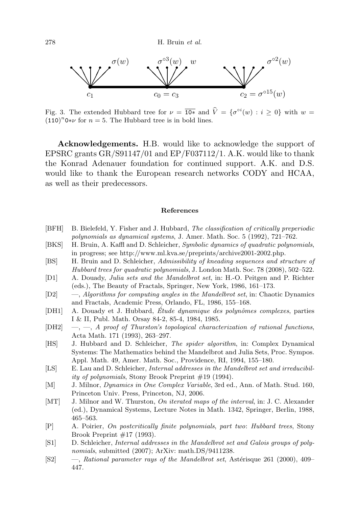

Fig. 3. The extended Hubbard tree for  $\nu = \overline{10*}$  and  $\hat{V} = {\sigma^{oi}(w) : i \ge 0}$  with  $w =$  $(110)^n$ 0\*v for  $n = 5$ . The Hubbard tree is in bold lines.

Acknowledgements. H.B. would like to acknowledge the support of EPSRC grants  $GR/S91147/01$  and  $EP/F037112/1$ . A.K. would like to thank the Konrad Adenauer foundation for continued support. A.K. and D.S. would like to thank the European research networks CODY and HCAA, as well as their predecessors.

## References

- [BFH] B. Bielefeld, Y. Fisher and J. Hubbard, The classification of critically preperiodic polynomials as dynamical systems, J. Amer. Math. Soc. 5 (1992), 721–762.
- [BKS] H. Bruin, A. Kaffl and D. Schleicher, Symbolic dynamics of quadratic polynomials, in progress; see http://www.ml.kva.se/preprints/archive2001-2002.php.
- [BS] H. Bruin and D. Schleicher, Admissibility of kneading sequences and structure of Hubbard trees for quadratic polynomials, J. London Math. Soc. 78 (2008), 502–522.
- [D1] A. Douady, Julia sets and the Mandelbrot set, in: H.-O. Peitgen and P. Richter (eds.), The Beauty of Fractals, Springer, New York, 1986, 161–173.
- [D2] —, Algorithms for computing angles in the Mandelbrot set, in: Chaotic Dynamics and Fractals, Academic Press, Orlando, FL, 1986, 155–168.
- [DH1] A. Douady et J. Hubbard, Étude dynamique des polynômes complexes, parties I & II, Publ. Math. Orsay 84-2, 85-4, 1984, 1985.
- $[DH2] \quad -,-$ , A proof of Thurston's topological characterization of rational functions, Acta Math. 171 (1993), 263–297.
- [HS] J. Hubbard and D. Schleicher, The spider algorithm, in: Complex Dynamical Systems: The Mathematics behind the Mandelbrot and Julia Sets, Proc. Sympos. Appl. Math. 49, Amer. Math. Soc., Providence, RI, 1994, 155–180.
- [LS] E. Lau and D. Schleicher, Internal addresses in the Mandelbrot set and irreducibility of polynomials, Stony Brook Preprint #19 (1994).
- [M] J. Milnor, Dynamics in One Complex Variable, 3rd ed., Ann. of Math. Stud. 160, Princeton Univ. Press, Princeton, NJ, 2006.
- [MT] J. Milnor and W. Thurston, *On iterated maps of the interval*, in: J. C. Alexander (ed.), Dynamical Systems, Lecture Notes in Math. 1342, Springer, Berlin, 1988, 465–563.
- [P] A. Poirier, On postcritically finite polynomials, part two: Hubbard trees, Stony Brook Preprint  $\#17$  (1993).
- [S1] D. Schleicher, Internal addresses in the Mandelbrot set and Galois groups of polynomials, submitted (2007); ArXiv: math.DS/9411238.
- [S2] —, Rational parameter rays of the Mandelbrot set, Astérisque 261 (2000), 409– 447.